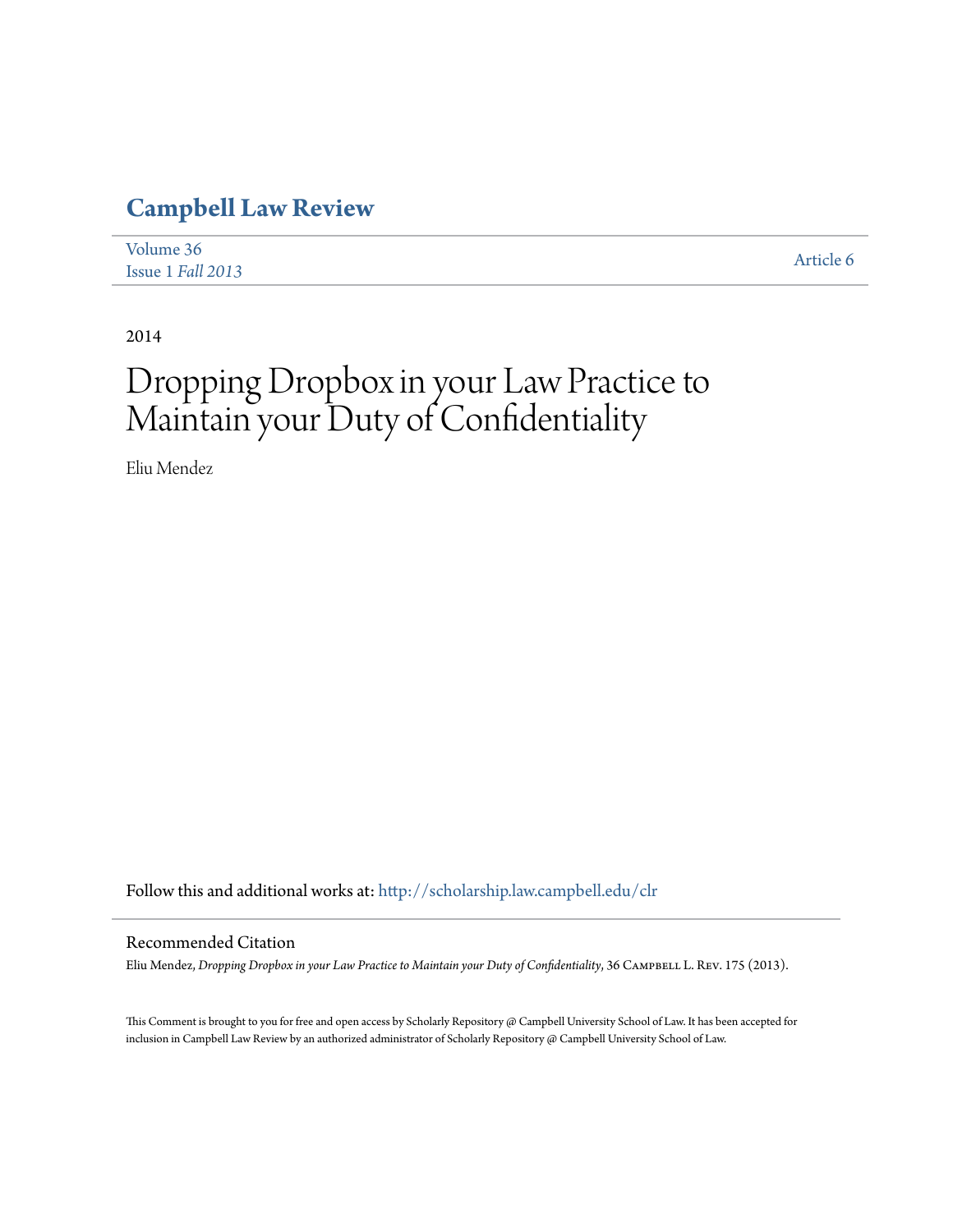## **[Campbell Law Review](http://scholarship.law.campbell.edu/clr?utm_source=scholarship.law.campbell.edu%2Fclr%2Fvol36%2Fiss1%2F6&utm_medium=PDF&utm_campaign=PDFCoverPages)**

| Volume 36         | Article 6 |
|-------------------|-----------|
| Issue 1 Fall 2013 |           |

2014

# Dropping Dropbox in your Law Practice to Maintain your Duty of Confidentiality

Eliu Mendez

Follow this and additional works at: [http://scholarship.law.campbell.edu/clr](http://scholarship.law.campbell.edu/clr?utm_source=scholarship.law.campbell.edu%2Fclr%2Fvol36%2Fiss1%2F6&utm_medium=PDF&utm_campaign=PDFCoverPages)

#### Recommended Citation

Eliu Mendez, *Dropping Dropbox in your Law Practice to Maintain your Duty of Confidentiality*, 36 CAMPBELL L. REV. 175 (2013).

This Comment is brought to you for free and open access by Scholarly Repository @ Campbell University School of Law. It has been accepted for inclusion in Campbell Law Review by an authorized administrator of Scholarly Repository @ Campbell University School of Law.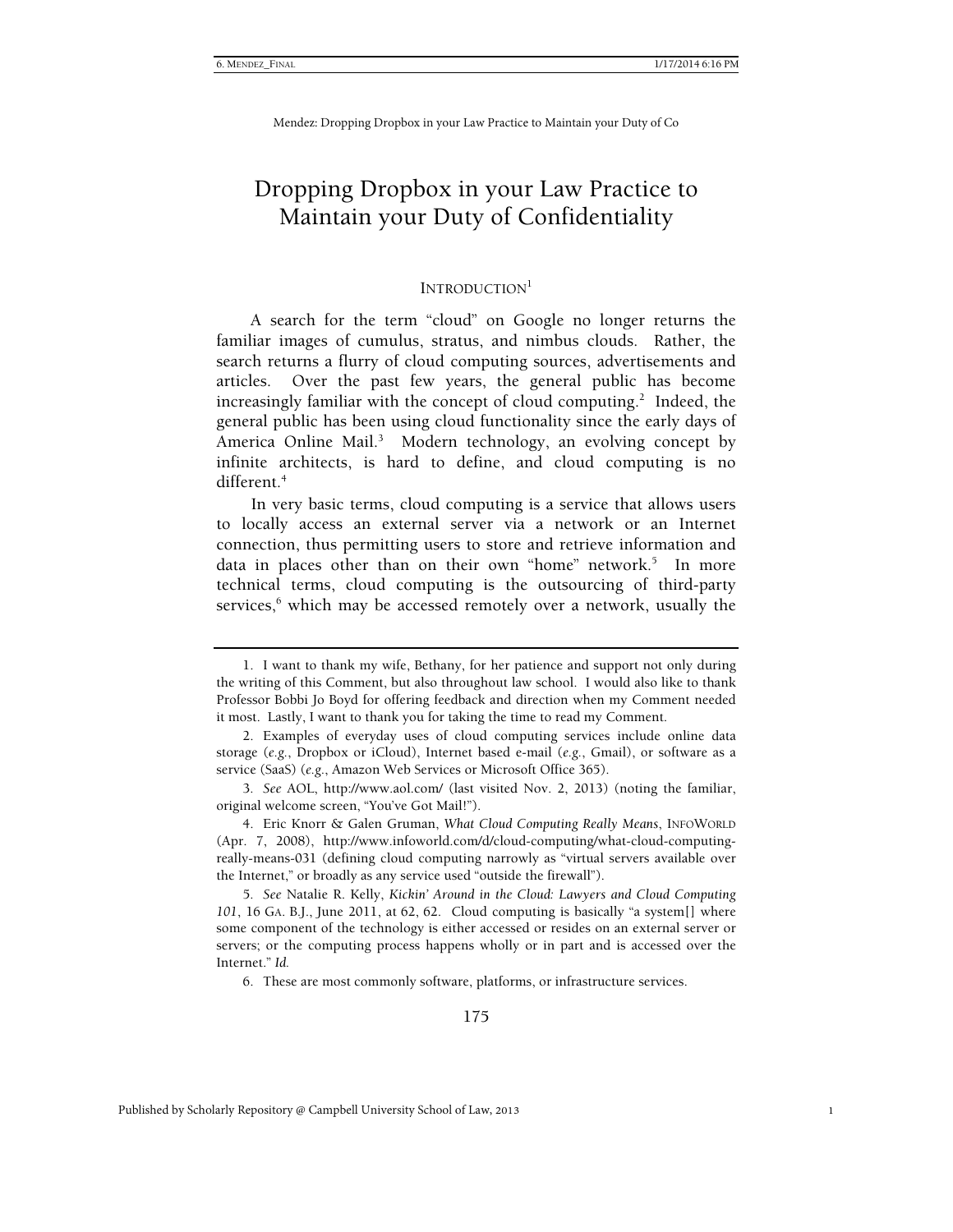### Dropping Dropbox in your Law Practice to Maintain your Duty of Confidentiality

#### INTRODUCTION<sup>1</sup>

A search for the term "cloud" on Google no longer returns the familiar images of cumulus, stratus, and nimbus clouds. Rather, the search returns a flurry of cloud computing sources, advertisements and articles. Over the past few years, the general public has become increasingly familiar with the concept of cloud computing.<sup>2</sup> Indeed, the general public has been using cloud functionality since the early days of America Online Mail.<sup>3</sup> Modern technology, an evolving concept by infinite architects, is hard to define, and cloud computing is no different.4

In very basic terms, cloud computing is a service that allows users to locally access an external server via a network or an Internet connection, thus permitting users to store and retrieve information and data in places other than on their own "home" network.<sup>5</sup> In more technical terms, cloud computing is the outsourcing of third-party services,<sup>6</sup> which may be accessed remotely over a network, usually the

5*. See* Natalie R. Kelly, *Kickin' Around in the Cloud: Lawyers and Cloud Computing 101*, 16 GA. B.J., June 2011, at 62, 62. Cloud computing is basically "a system[] where some component of the technology is either accessed or resides on an external server or servers; or the computing process happens wholly or in part and is accessed over the Internet." *Id.*

6. These are most commonly software, platforms, or infrastructure services.

 <sup>1.</sup> I want to thank my wife, Bethany, for her patience and support not only during the writing of this Comment, but also throughout law school. I would also like to thank Professor Bobbi Jo Boyd for offering feedback and direction when my Comment needed it most. Lastly, I want to thank you for taking the time to read my Comment.

 <sup>2.</sup> Examples of everyday uses of cloud computing services include online data storage (*e.g.*, Dropbox or iCloud), Internet based e-mail (*e.g.*, Gmail), or software as a service (SaaS) (*e.g.*, Amazon Web Services or Microsoft Office 365).

<sup>3</sup>*. See* AOL, http://www.aol.com/ (last visited Nov. 2, 2013) (noting the familiar, original welcome screen, "You've Got Mail!").

 <sup>4.</sup> Eric Knorr & Galen Gruman, *What Cloud Computing Really Means*, INFOWORLD (Apr. 7, 2008), http://www.infoworld.com/d/cloud-computing/what-cloud-computingreally-means-031 (defining cloud computing narrowly as "virtual servers available over the Internet," or broadly as any service used "outside the firewall").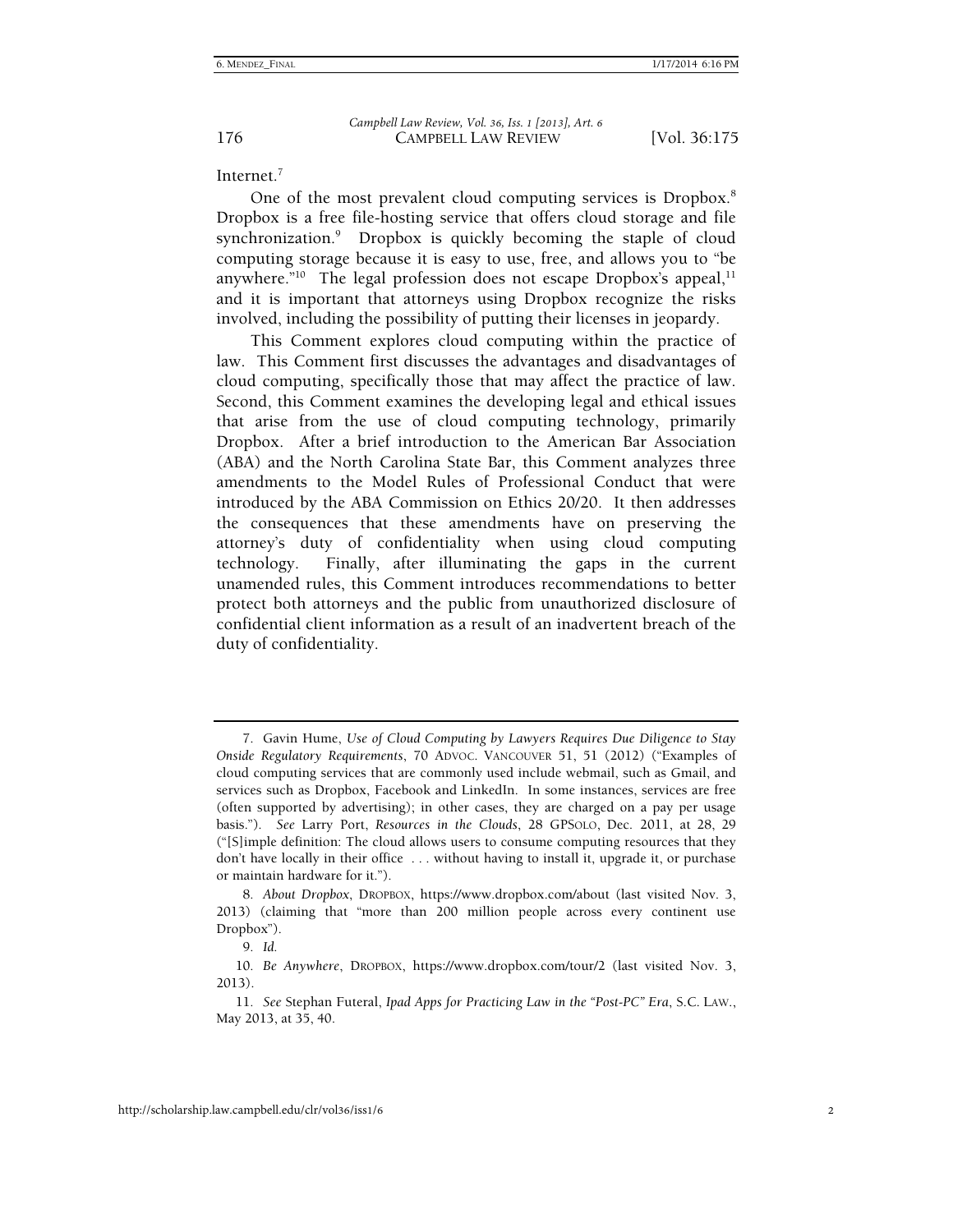Internet.7

One of the most prevalent cloud computing services is Dropbox.<sup>8</sup> Dropbox is a free file-hosting service that offers cloud storage and file synchronization.<sup>9</sup> Dropbox is quickly becoming the staple of cloud computing storage because it is easy to use, free, and allows you to "be anywhere."<sup>10</sup> The legal profession does not escape Dropbox's appeal,  $11$ and it is important that attorneys using Dropbox recognize the risks involved, including the possibility of putting their licenses in jeopardy.

This Comment explores cloud computing within the practice of law. This Comment first discusses the advantages and disadvantages of cloud computing, specifically those that may affect the practice of law. Second, this Comment examines the developing legal and ethical issues that arise from the use of cloud computing technology, primarily Dropbox. After a brief introduction to the American Bar Association (ABA) and the North Carolina State Bar, this Comment analyzes three amendments to the Model Rules of Professional Conduct that were introduced by the ABA Commission on Ethics 20/20. It then addresses the consequences that these amendments have on preserving the attorney's duty of confidentiality when using cloud computing technology. Finally, after illuminating the gaps in the current unamended rules, this Comment introduces recommendations to better protect both attorneys and the public from unauthorized disclosure of confidential client information as a result of an inadvertent breach of the duty of confidentiality.

 <sup>7.</sup> Gavin Hume, *Use of Cloud Computing by Lawyers Requires Due Diligence to Stay Onside Regulatory Requirements*, 70 ADVOC. VANCOUVER 51, 51 (2012) ("Examples of cloud computing services that are commonly used include webmail, such as Gmail, and services such as Dropbox, Facebook and LinkedIn. In some instances, services are free (often supported by advertising); in other cases, they are charged on a pay per usage basis."). *See* Larry Port, *Resources in the Clouds*, 28 GPSOLO, Dec. 2011, at 28, 29 ("[S]imple definition: The cloud allows users to consume computing resources that they don't have locally in their office . . . without having to install it, upgrade it, or purchase or maintain hardware for it.").

<sup>8</sup>*. About Dropbox*, DROPBOX, https://www.dropbox.com/about (last visited Nov. 3, 2013) (claiming that "more than 200 million people across every continent use Dropbox").

<sup>9</sup>*. Id.*

<sup>10</sup>*. Be Anywhere*, DROPBOX, https://www.dropbox.com/tour/2 (last visited Nov. 3, 2013).

<sup>11</sup>*. See* Stephan Futeral, *Ipad Apps for Practicing Law in the "Post-PC" Era*, S.C. LAW., May 2013, at 35, 40.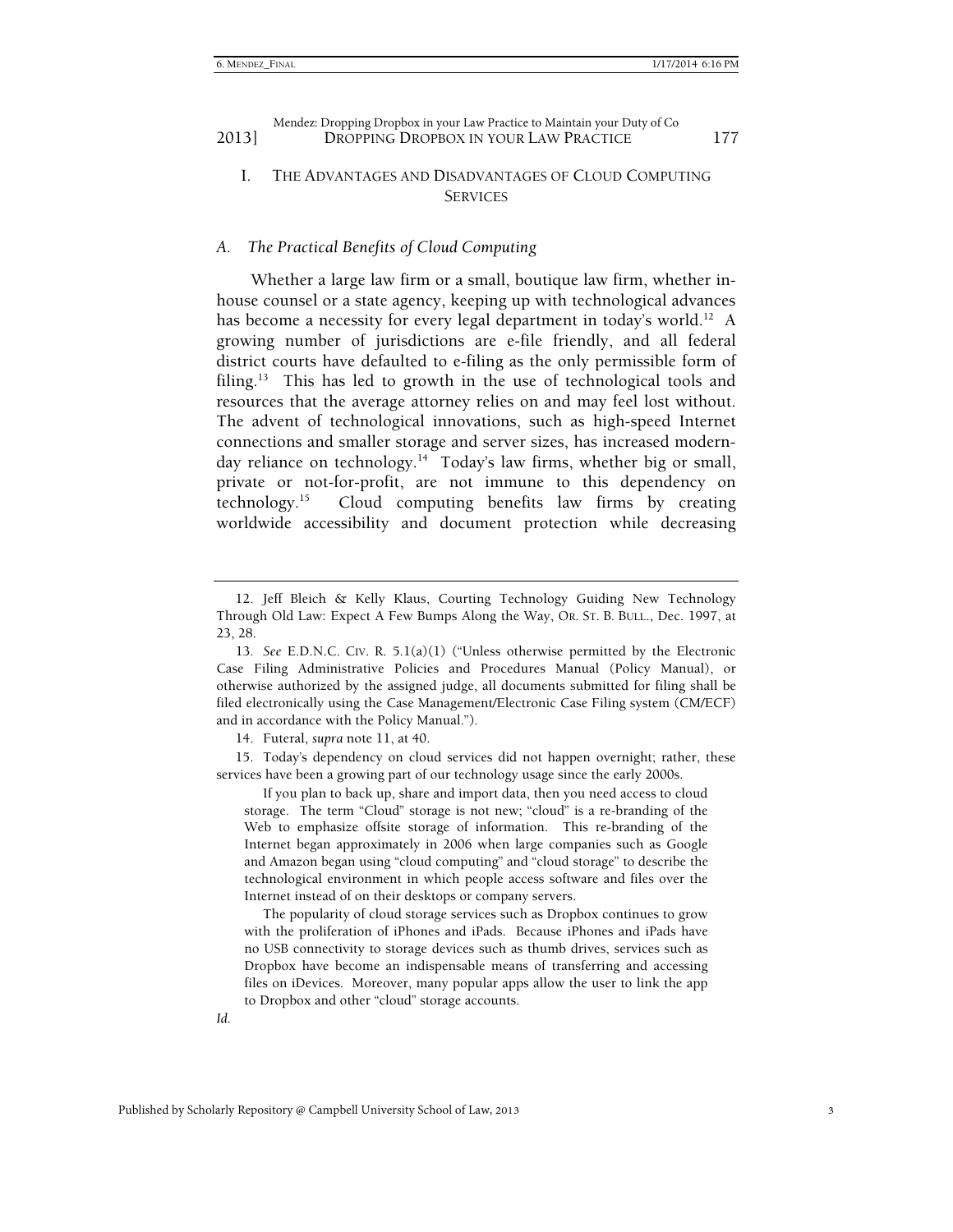#### I. THE ADVANTAGES AND DISADVANTAGES OF CLOUD COMPUTING **SERVICES**

#### *A. The Practical Benefits of Cloud Computing*

Whether a large law firm or a small, boutique law firm, whether inhouse counsel or a state agency, keeping up with technological advances has become a necessity for every legal department in today's world.<sup>12</sup> A growing number of jurisdictions are e-file friendly, and all federal district courts have defaulted to e-filing as the only permissible form of filing.<sup>13</sup> This has led to growth in the use of technological tools and resources that the average attorney relies on and may feel lost without. The advent of technological innovations, such as high-speed Internet connections and smaller storage and server sizes, has increased modernday reliance on technology.<sup>14</sup> Today's law firms, whether big or small, private or not-for-profit, are not immune to this dependency on technology.15 Cloud computing benefits law firms by creating worldwide accessibility and document protection while decreasing

14. Futeral, *supra* note 11, at 40.

 15. Today's dependency on cloud services did not happen overnight; rather, these services have been a growing part of our technology usage since the early 2000s.

 If you plan to back up, share and import data, then you need access to cloud storage. The term "Cloud" storage is not new; "cloud" is a re-branding of the Web to emphasize offsite storage of information. This re-branding of the Internet began approximately in 2006 when large companies such as Google and Amazon began using "cloud computing" and "cloud storage" to describe the technological environment in which people access software and files over the Internet instead of on their desktops or company servers.

 The popularity of cloud storage services such as Dropbox continues to grow with the proliferation of iPhones and iPads. Because iPhones and iPads have no USB connectivity to storage devices such as thumb drives, services such as Dropbox have become an indispensable means of transferring and accessing files on iDevices. Moreover, many popular apps allow the user to link the app to Dropbox and other "cloud" storage accounts.

*Id.*

 <sup>12.</sup> Jeff Bleich & Kelly Klaus, Courting Technology Guiding New Technology Through Old Law: Expect A Few Bumps Along the Way, OR. ST. B. BULL., Dec. 1997, at 23, 28.

<sup>13</sup>*. See* E.D.N.C. CIV. R. 5.1(a)(1) ("Unless otherwise permitted by the Electronic Case Filing Administrative Policies and Procedures Manual (Policy Manual), or otherwise authorized by the assigned judge, all documents submitted for filing shall be filed electronically using the Case Management/Electronic Case Filing system (CM/ECF) and in accordance with the Policy Manual.").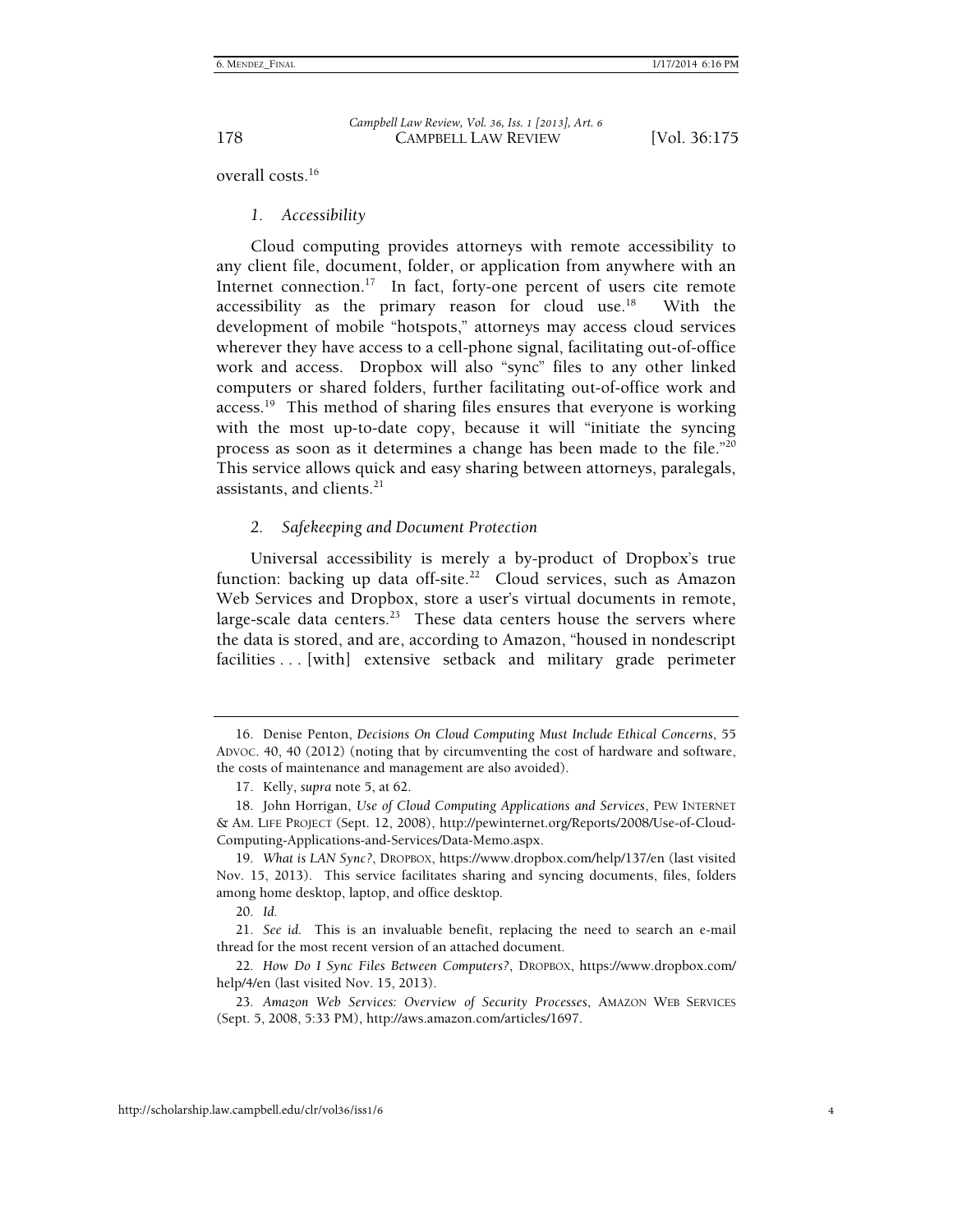178 CAMPBELL LAW REVIEW [Vol. 36:175 *Campbell Law Review, Vol. 36, Iss. 1 [2013], Art. 6*

overall costs <sup>16</sup>

#### *1. Accessibility*

Cloud computing provides attorneys with remote accessibility to any client file, document, folder, or application from anywhere with an Internet connection.<sup>17</sup> In fact, forty-one percent of users cite remote accessibility as the primary reason for cloud use.<sup>18</sup> With the development of mobile "hotspots," attorneys may access cloud services wherever they have access to a cell-phone signal, facilitating out-of-office work and access. Dropbox will also "sync" files to any other linked computers or shared folders, further facilitating out-of-office work and  $access.^{19}$  This method of sharing files ensures that everyone is working with the most up-to-date copy, because it will "initiate the syncing process as soon as it determines a change has been made to the file."20 This service allows quick and easy sharing between attorneys, paralegals, assistants, and clients. $21$ 

#### *2. Safekeeping and Document Protection*

Universal accessibility is merely a by-product of Dropbox's true function: backing up data off-site.<sup>22</sup> Cloud services, such as Amazon Web Services and Dropbox, store a user's virtual documents in remote, large-scale data centers.<sup>23</sup> These data centers house the servers where the data is stored, and are, according to Amazon, "housed in nondescript facilities ... [with] extensive setback and military grade perimeter

20*. Id.*

21*. See id.* This is an invaluable benefit, replacing the need to search an e-mail thread for the most recent version of an attached document.

22*. How Do I Sync Files Between Computers?*, DROPBOX, https://www.dropbox.com/ help/4/en (last visited Nov. 15, 2013).

23*. Amazon Web Services: Overview of Security Processes*, AMAZON WEB SERVICES (Sept. 5, 2008, 5:33 PM), http://aws.amazon.com/articles/1697.

 <sup>16.</sup> Denise Penton, *Decisions On Cloud Computing Must Include Ethical Concerns*, 55 ADVOC. 40, 40 (2012) (noting that by circumventing the cost of hardware and software, the costs of maintenance and management are also avoided).

 <sup>17.</sup> Kelly, *supra* note 5, at 62.

 <sup>18.</sup> John Horrigan, *Use of Cloud Computing Applications and Services*, PEW INTERNET & AM. LIFE PROJECT (Sept. 12, 2008), http://pewinternet.org/Reports/2008/Use-of-Cloud-Computing-Applications-and-Services/Data-Memo.aspx.

<sup>19</sup>*. What is LAN Sync?*, DROPBOX, https://www.dropbox.com/help/137/en (last visited Nov. 15, 2013). This service facilitates sharing and syncing documents, files, folders among home desktop, laptop, and office desktop.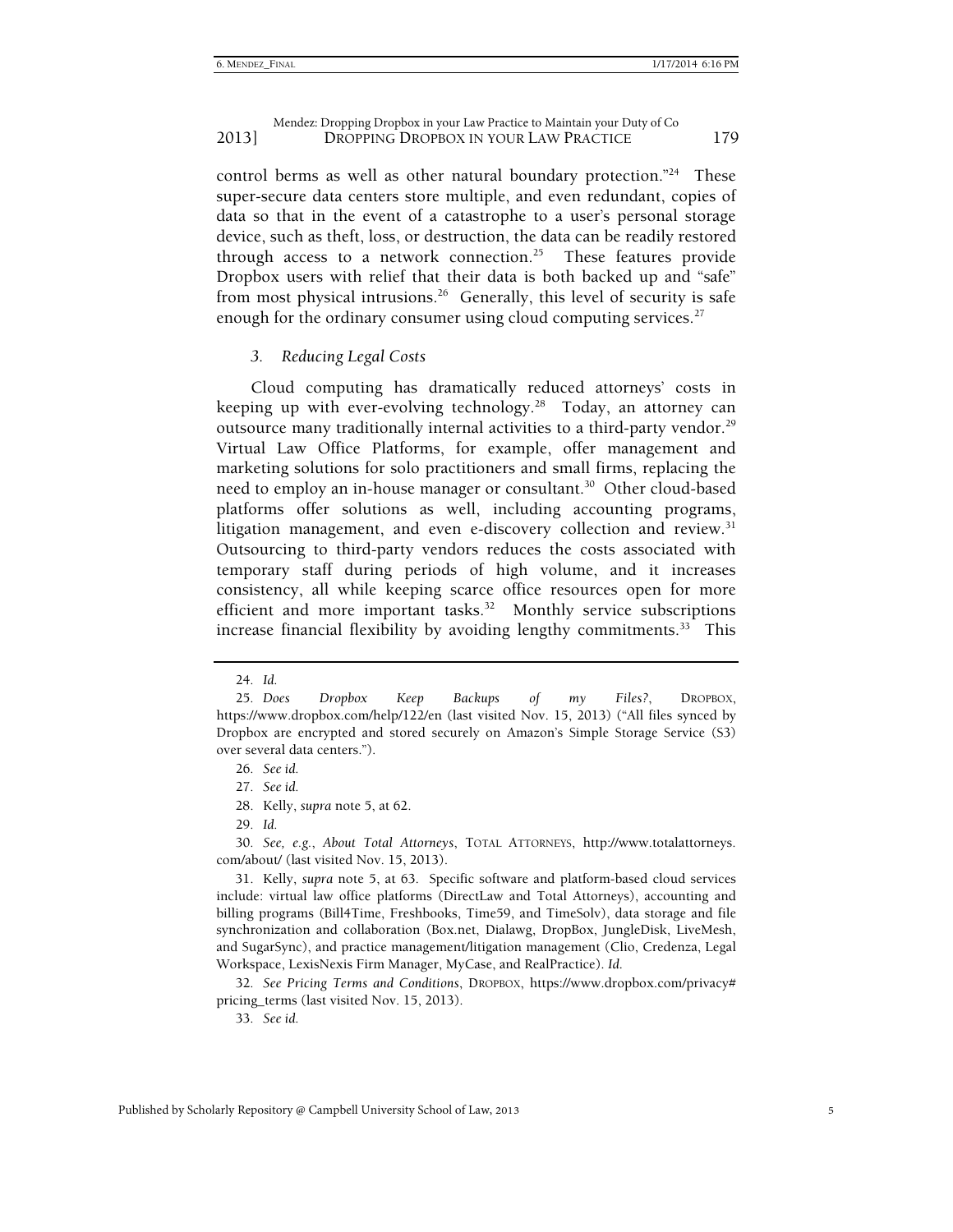control berms as well as other natural boundary protection."<sup>24</sup> These super-secure data centers store multiple, and even redundant, copies of data so that in the event of a catastrophe to a user's personal storage device, such as theft, loss, or destruction, the data can be readily restored through access to a network connection.<sup>25</sup> These features provide Dropbox users with relief that their data is both backed up and "safe" from most physical intrusions.<sup>26</sup> Generally, this level of security is safe enough for the ordinary consumer using cloud computing services.<sup>27</sup>

#### *3. Reducing Legal Costs*

Cloud computing has dramatically reduced attorneys' costs in keeping up with ever-evolving technology.<sup>28</sup> Today, an attorney can outsource many traditionally internal activities to a third-party vendor.<sup>29</sup> Virtual Law Office Platforms, for example, offer management and marketing solutions for solo practitioners and small firms, replacing the need to employ an in-house manager or consultant.<sup>30</sup> Other cloud-based platforms offer solutions as well, including accounting programs, litigation management, and even e-discovery collection and review.<sup>31</sup> Outsourcing to third-party vendors reduces the costs associated with temporary staff during periods of high volume, and it increases consistency, all while keeping scarce office resources open for more efficient and more important tasks.<sup>32</sup> Monthly service subscriptions increase financial flexibility by avoiding lengthy commitments. $33$  This

33*. See id.*

<sup>24</sup>*. Id.*

<sup>25</sup>*. Does Dropbox Keep Backups of my Files?*, DROPBOX, https://www.dropbox.com/help/122/en (last visited Nov. 15, 2013) ("All files synced by Dropbox are encrypted and stored securely on Amazon's Simple Storage Service (S3) over several data centers.").

<sup>26</sup>*. See id.*

<sup>27</sup>*. See id.*

 <sup>28.</sup> Kelly, *supra* note 5, at 62.

<sup>29</sup>*. Id.*

<sup>30</sup>*. See, e.g.*, *About Total Attorneys*, TOTAL ATTORNEYS, http://www.totalattorneys. com/about/ (last visited Nov. 15, 2013).

 <sup>31.</sup> Kelly, *supra* note 5, at 63. Specific software and platform-based cloud services include: virtual law office platforms (DirectLaw and Total Attorneys), accounting and billing programs (Bill4Time, Freshbooks, Time59, and TimeSolv), data storage and file synchronization and collaboration (Box.net, Dialawg, DropBox, JungleDisk, LiveMesh, and SugarSync), and practice management/litigation management (Clio, Credenza, Legal Workspace, LexisNexis Firm Manager, MyCase, and RealPractice). *Id*.

<sup>32</sup>*. See Pricing Terms and Conditions*, DROPBOX, https://www.dropbox.com/privacy# pricing\_terms (last visited Nov. 15, 2013).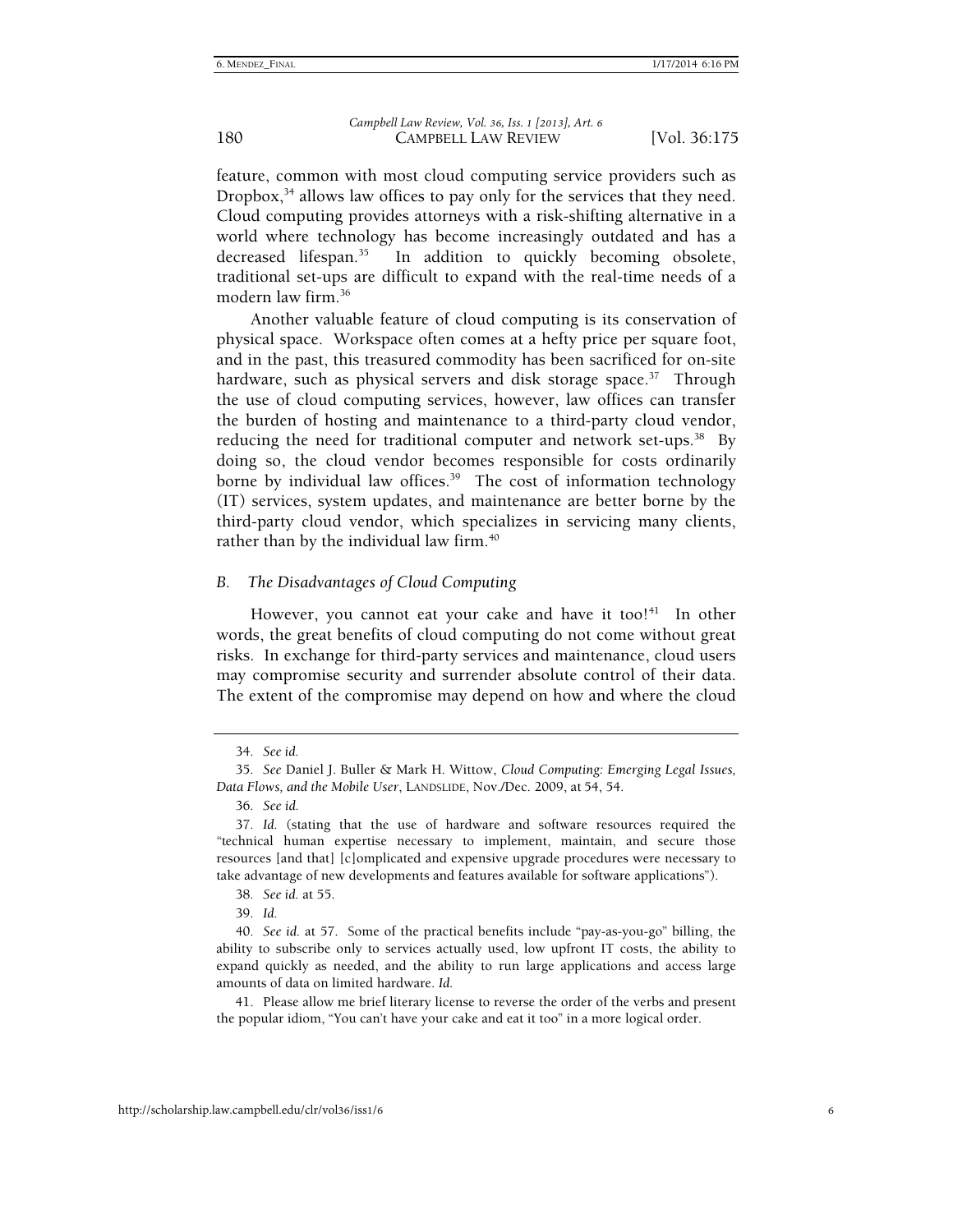feature, common with most cloud computing service providers such as Dropbox,<sup>34</sup> allows law offices to pay only for the services that they need. Cloud computing provides attorneys with a risk-shifting alternative in a world where technology has become increasingly outdated and has a decreased lifespan.<sup>35</sup> In addition to quickly becoming obsolete, traditional set-ups are difficult to expand with the real-time needs of a modern law firm.36

Another valuable feature of cloud computing is its conservation of physical space. Workspace often comes at a hefty price per square foot, and in the past, this treasured commodity has been sacrificed for on-site hardware, such as physical servers and disk storage space.<sup>37</sup> Through the use of cloud computing services, however, law offices can transfer the burden of hosting and maintenance to a third-party cloud vendor, reducing the need for traditional computer and network set-ups.<sup>38</sup> By doing so, the cloud vendor becomes responsible for costs ordinarily borne by individual law offices.<sup>39</sup> The cost of information technology (IT) services, system updates, and maintenance are better borne by the third-party cloud vendor, which specializes in servicing many clients, rather than by the individual law firm.<sup>40</sup>

#### *B. The Disadvantages of Cloud Computing*

However, you cannot eat your cake and have it too! $41$  In other words, the great benefits of cloud computing do not come without great risks. In exchange for third-party services and maintenance, cloud users may compromise security and surrender absolute control of their data. The extent of the compromise may depend on how and where the cloud

39*. Id.*

 41. Please allow me brief literary license to reverse the order of the verbs and present the popular idiom, "You can't have your cake and eat it too" in a more logical order.

<sup>34</sup>*. See id.*

<sup>35</sup>*. See* Daniel J. Buller & Mark H. Wittow, *Cloud Computing: Emerging Legal Issues, Data Flows, and the Mobile User*, LANDSLIDE, Nov./Dec. 2009, at 54, 54.

<sup>36</sup>*. See id.*

<sup>37</sup>*. Id.* (stating that the use of hardware and software resources required the "technical human expertise necessary to implement, maintain, and secure those resources [and that] [c]omplicated and expensive upgrade procedures were necessary to take advantage of new developments and features available for software applications").

<sup>38</sup>*. See id.* at 55.

<sup>40</sup>*. See id.* at 57. Some of the practical benefits include "pay-as-you-go" billing, the ability to subscribe only to services actually used, low upfront IT costs, the ability to expand quickly as needed, and the ability to run large applications and access large amounts of data on limited hardware. *Id.*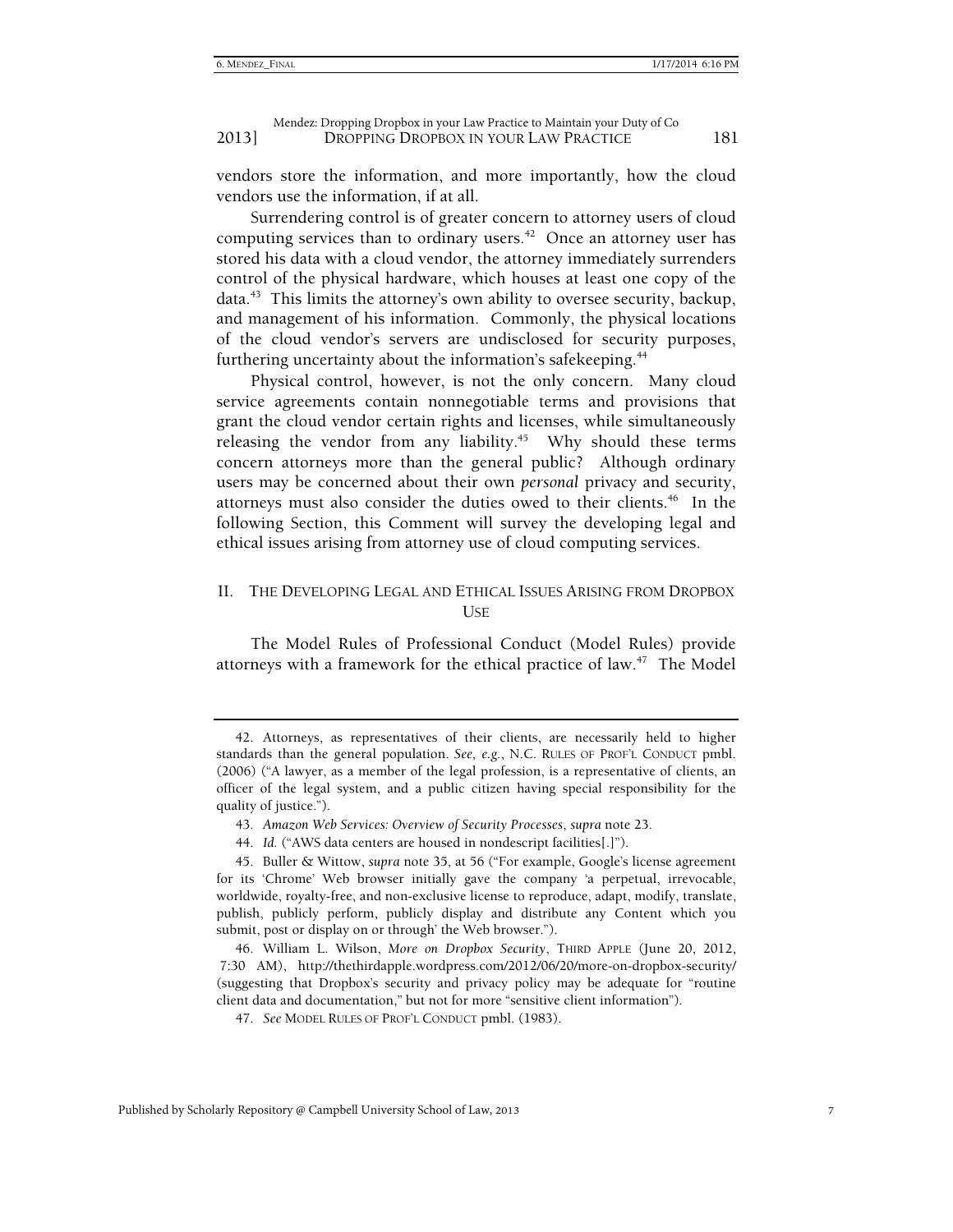vendors store the information, and more importantly, how the cloud vendors use the information, if at all.

Surrendering control is of greater concern to attorney users of cloud computing services than to ordinary users.<sup>42</sup> Once an attorney user has stored his data with a cloud vendor, the attorney immediately surrenders control of the physical hardware, which houses at least one copy of the  $data.<sup>43</sup>$  This limits the attorney's own ability to oversee security, backup, and management of his information. Commonly, the physical locations of the cloud vendor's servers are undisclosed for security purposes, furthering uncertainty about the information's safekeeping.<sup>44</sup>

Physical control, however, is not the only concern. Many cloud service agreements contain nonnegotiable terms and provisions that grant the cloud vendor certain rights and licenses, while simultaneously releasing the vendor from any liability.<sup>45</sup> Why should these terms concern attorneys more than the general public? Although ordinary users may be concerned about their own *personal* privacy and security, attorneys must also consider the duties owed to their clients.<sup>46</sup> In the following Section, this Comment will survey the developing legal and ethical issues arising from attorney use of cloud computing services.

#### II. THE DEVELOPING LEGAL AND ETHICAL ISSUES ARISING FROM DROPBOX USE

The Model Rules of Professional Conduct (Model Rules) provide attorneys with a framework for the ethical practice of law. $47$  The Model

 <sup>42.</sup> Attorneys, as representatives of their clients, are necessarily held to higher standards than the general population. *See, e.g.*, N.C. RULES OF PROF'L CONDUCT pmbl. (2006) ("A lawyer, as a member of the legal profession, is a representative of clients, an officer of the legal system, and a public citizen having special responsibility for the quality of justice.").

<sup>43</sup>*. Amazon Web Services: Overview of Security Processes*, *supra* note 23.

<sup>44</sup>*. Id.* ("AWS data centers are housed in nondescript facilities[.]").

 <sup>45.</sup> Buller & Wittow, *supra* note 35, at 56 ("For example, Google's license agreement for its 'Chrome' Web browser initially gave the company 'a perpetual, irrevocable, worldwide, royalty-free, and non-exclusive license to reproduce, adapt, modify, translate, publish, publicly perform, publicly display and distribute any Content which you submit, post or display on or through' the Web browser.").

 <sup>46.</sup> William L. Wilson, *More on Dropbox Security*, THIRD APPLE (June 20, 2012, 7:30 AM), http://thethirdapple.wordpress.com/2012/06/20/more-on-dropbox-security/ (suggesting that Dropbox's security and privacy policy may be adequate for "routine client data and documentation," but not for more "sensitive client information").

<sup>47</sup>*. See* MODEL RULES OF PROF'L CONDUCT pmbl. (1983).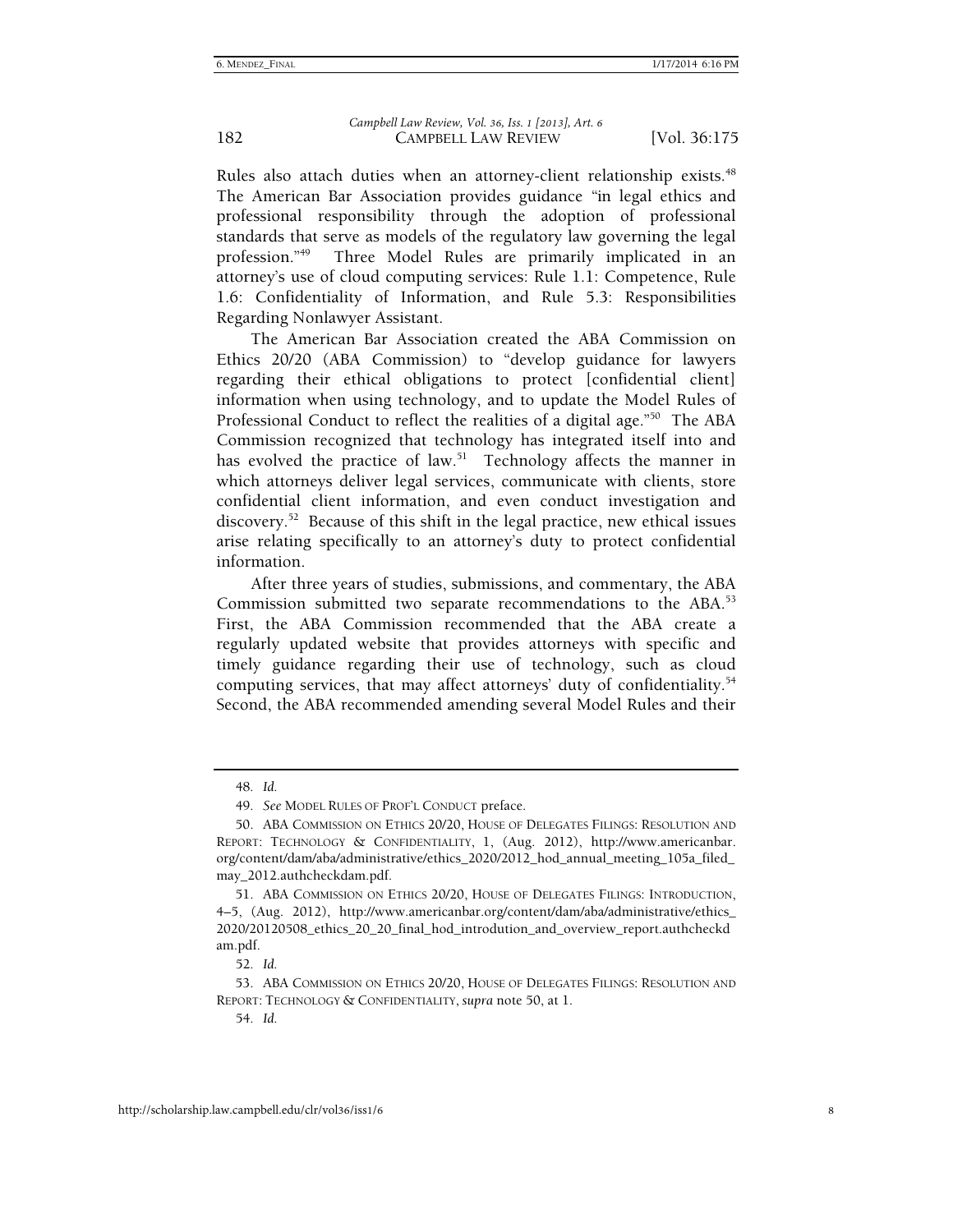Rules also attach duties when an attorney-client relationship exists.<sup>48</sup> The American Bar Association provides guidance "in legal ethics and professional responsibility through the adoption of professional standards that serve as models of the regulatory law governing the legal profession."49 Three Model Rules are primarily implicated in an attorney's use of cloud computing services: Rule 1.1: Competence, Rule 1.6: Confidentiality of Information, and Rule 5.3: Responsibilities Regarding Nonlawyer Assistant.

The American Bar Association created the ABA Commission on Ethics 20/20 (ABA Commission) to "develop guidance for lawyers regarding their ethical obligations to protect [confidential client] information when using technology, and to update the Model Rules of Professional Conduct to reflect the realities of a digital age."<sup>50</sup> The ABA Commission recognized that technology has integrated itself into and has evolved the practice of law.<sup>51</sup> Technology affects the manner in which attorneys deliver legal services, communicate with clients, store confidential client information, and even conduct investigation and discovery.<sup>52</sup> Because of this shift in the legal practice, new ethical issues arise relating specifically to an attorney's duty to protect confidential information.

After three years of studies, submissions, and commentary, the ABA Commission submitted two separate recommendations to the ABA.<sup>53</sup> First, the ABA Commission recommended that the ABA create a regularly updated website that provides attorneys with specific and timely guidance regarding their use of technology, such as cloud computing services, that may affect attorneys' duty of confidentiality.<sup>54</sup> Second, the ABA recommended amending several Model Rules and their

49*. See* MODEL RULES OF PROF'L CONDUCT preface.

52*. Id.*

54*. Id.*

<sup>48</sup>*. Id.*

 <sup>50.</sup> ABA COMMISSION ON ETHICS 20/20, HOUSE OF DELEGATES FILINGS: RESOLUTION AND REPORT: TECHNOLOGY & CONFIDENTIALITY, 1, (Aug. 2012), http://www.americanbar. org/content/dam/aba/administrative/ethics\_2020/2012\_hod\_annual\_meeting\_105a\_filed\_ may\_2012.authcheckdam.pdf.

 <sup>51.</sup> ABA COMMISSION ON ETHICS 20/20, HOUSE OF DELEGATES FILINGS: INTRODUCTION, 4–5, (Aug. 2012), http://www.americanbar.org/content/dam/aba/administrative/ethics\_ 2020/20120508\_ethics\_20\_20\_final\_hod\_introdution\_and\_overview\_report.authcheckd am.pdf.

 <sup>53.</sup> ABA COMMISSION ON ETHICS 20/20, HOUSE OF DELEGATES FILINGS: RESOLUTION AND REPORT: TECHNOLOGY & CONFIDENTIALITY, *supra* note 50, at 1.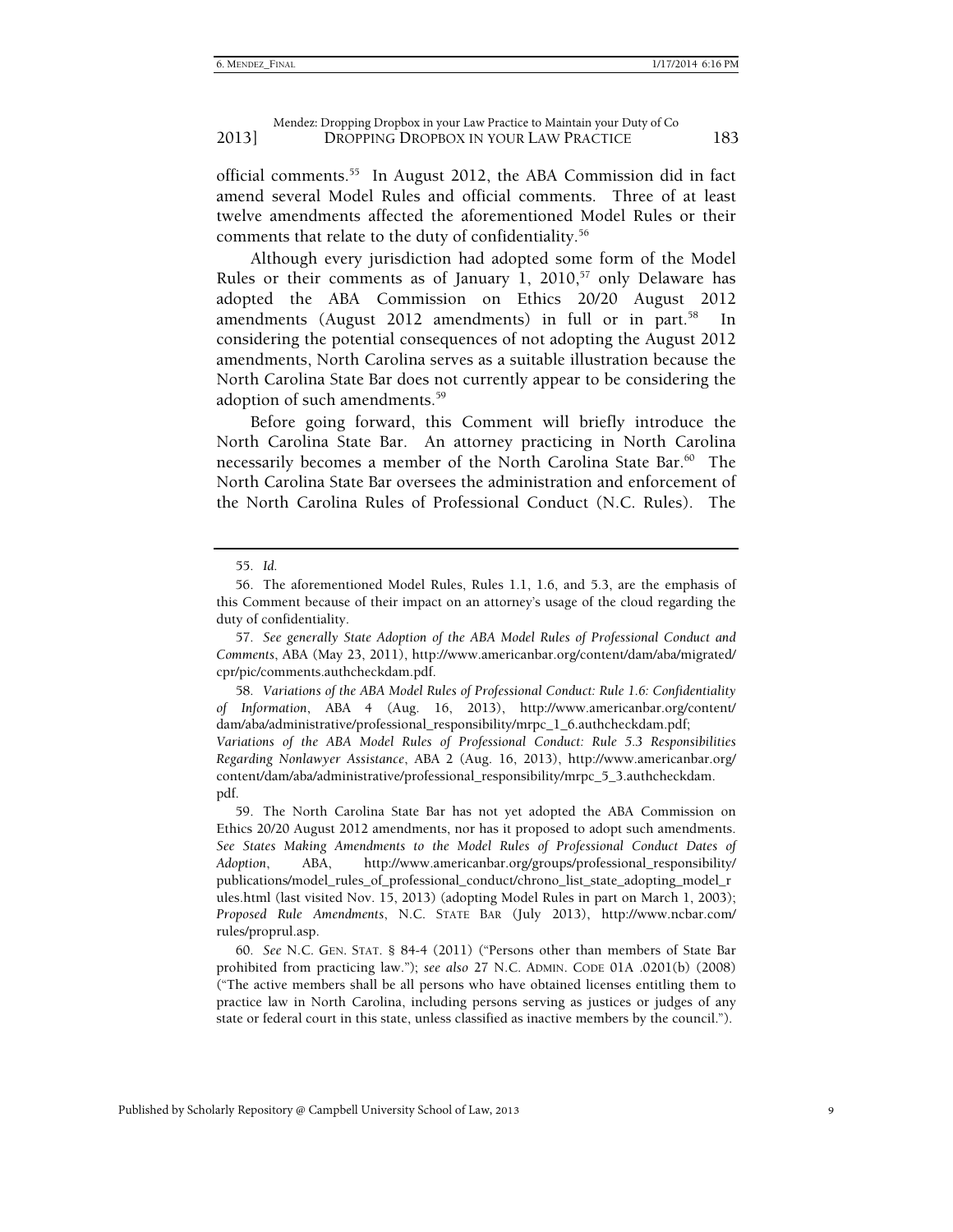official comments.<sup>55</sup> In August 2012, the ABA Commission did in fact amend several Model Rules and official comments. Three of at least twelve amendments affected the aforementioned Model Rules or their comments that relate to the duty of confidentiality.<sup>56</sup>

Although every jurisdiction had adopted some form of the Model Rules or their comments as of January 1, 2010,<sup>57</sup> only Delaware has adopted the ABA Commission on Ethics 20/20 August 2012 amendments (August 2012 amendments) in full or in part.<sup>58</sup> In considering the potential consequences of not adopting the August 2012 amendments, North Carolina serves as a suitable illustration because the North Carolina State Bar does not currently appear to be considering the adoption of such amendments.59

Before going forward, this Comment will briefly introduce the North Carolina State Bar. An attorney practicing in North Carolina necessarily becomes a member of the North Carolina State Bar.<sup>60</sup> The North Carolina State Bar oversees the administration and enforcement of the North Carolina Rules of Professional Conduct (N.C. Rules). The

58*. Variations of the ABA Model Rules of Professional Conduct: Rule 1.6: Confidentiality of Information*, ABA 4 (Aug. 16, 2013), http://www.americanbar.org/content/ dam/aba/administrative/professional\_responsibility/mrpc\_1\_6.authcheckdam.pdf; *Variations of the ABA Model Rules of Professional Conduct: Rule 5.3 Responsibilities Regarding Nonlawyer Assistance*, ABA 2 (Aug. 16, 2013), http://www.americanbar.org/ content/dam/aba/administrative/professional\_responsibility/mrpc\_5\_3.authcheckdam. pdf.

 59. The North Carolina State Bar has not yet adopted the ABA Commission on Ethics 20/20 August 2012 amendments, nor has it proposed to adopt such amendments. See States Making Amendments to the Model Rules of Professional Conduct Dates of *Adoption*, ABA, http://www.americanbar.org/groups/professional\_responsibility/ publications/model\_rules\_of\_professional\_conduct/chrono\_list\_state\_adopting\_model\_r ules.html (last visited Nov. 15, 2013) (adopting Model Rules in part on March 1, 2003); *Proposed Rule Amendments*, N.C. STATE BAR (July 2013), http://www.ncbar.com/ rules/proprul.asp.

60*. See* N.C. GEN. STAT. § 84-4 (2011) ("Persons other than members of State Bar prohibited from practicing law."); *see also* 27 N.C. ADMIN. CODE 01A .0201(b) (2008) ("The active members shall be all persons who have obtained licenses entitling them to practice law in North Carolina, including persons serving as justices or judges of any state or federal court in this state, unless classified as inactive members by the council.").

<sup>55</sup>*. Id.*

 <sup>56.</sup> The aforementioned Model Rules, Rules 1.1, 1.6, and 5.3, are the emphasis of this Comment because of their impact on an attorney's usage of the cloud regarding the duty of confidentiality.

<sup>57</sup>*. See generally State Adoption of the ABA Model Rules of Professional Conduct and Comments*, ABA (May 23, 2011), http://www.americanbar.org/content/dam/aba/migrated/ cpr/pic/comments.authcheckdam.pdf.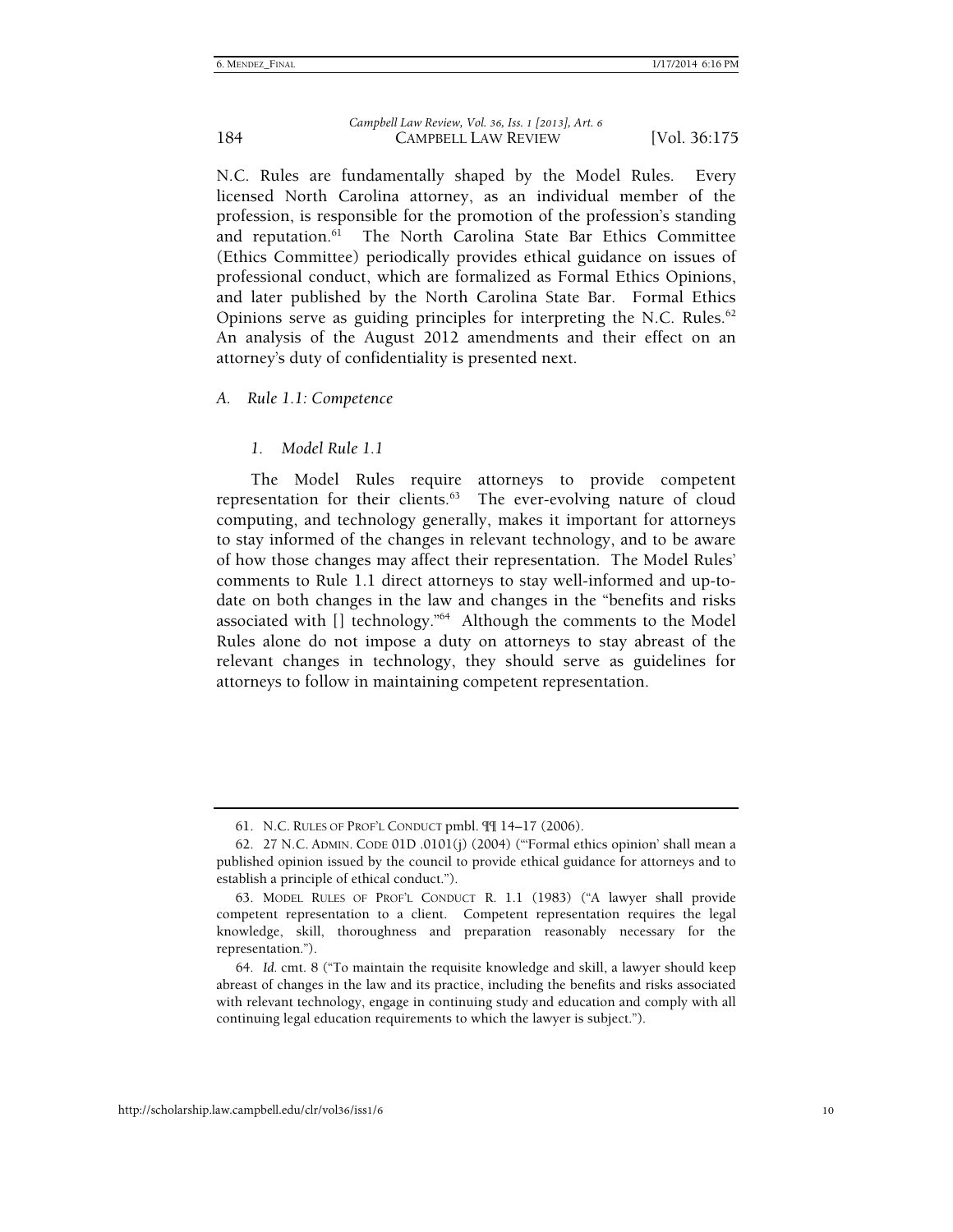N.C. Rules are fundamentally shaped by the Model Rules. Every licensed North Carolina attorney, as an individual member of the profession, is responsible for the promotion of the profession's standing and reputation. $6\overline{1}$  The North Carolina State Bar Ethics Committee (Ethics Committee) periodically provides ethical guidance on issues of professional conduct, which are formalized as Formal Ethics Opinions, and later published by the North Carolina State Bar. Formal Ethics Opinions serve as guiding principles for interpreting the N.C. Rules. $62$ An analysis of the August 2012 amendments and their effect on an attorney's duty of confidentiality is presented next.

#### *A. Rule 1.1: Competence*

#### *1. Model Rule 1.1*

The Model Rules require attorneys to provide competent representation for their clients. $63$  The ever-evolving nature of cloud computing, and technology generally, makes it important for attorneys to stay informed of the changes in relevant technology, and to be aware of how those changes may affect their representation. The Model Rules' comments to Rule 1.1 direct attorneys to stay well-informed and up-todate on both changes in the law and changes in the "benefits and risks associated with [] technology."64 Although the comments to the Model Rules alone do not impose a duty on attorneys to stay abreast of the relevant changes in technology, they should serve as guidelines for attorneys to follow in maintaining competent representation.

 <sup>61.</sup> N.C. RULES OF PROF'L CONDUCT pmbl. ¶¶ 14–17 (2006).

 <sup>62. 27</sup> N.C. ADMIN. CODE 01D .0101(j) (2004) ("'Formal ethics opinion' shall mean a published opinion issued by the council to provide ethical guidance for attorneys and to establish a principle of ethical conduct.").

 <sup>63.</sup> MODEL RULES OF PROF'L CONDUCT R. 1.1 (1983) ("A lawyer shall provide competent representation to a client. Competent representation requires the legal knowledge, skill, thoroughness and preparation reasonably necessary for the representation.").

<sup>64</sup>*. Id.* cmt. 8 ("To maintain the requisite knowledge and skill, a lawyer should keep abreast of changes in the law and its practice, including the benefits and risks associated with relevant technology, engage in continuing study and education and comply with all continuing legal education requirements to which the lawyer is subject.").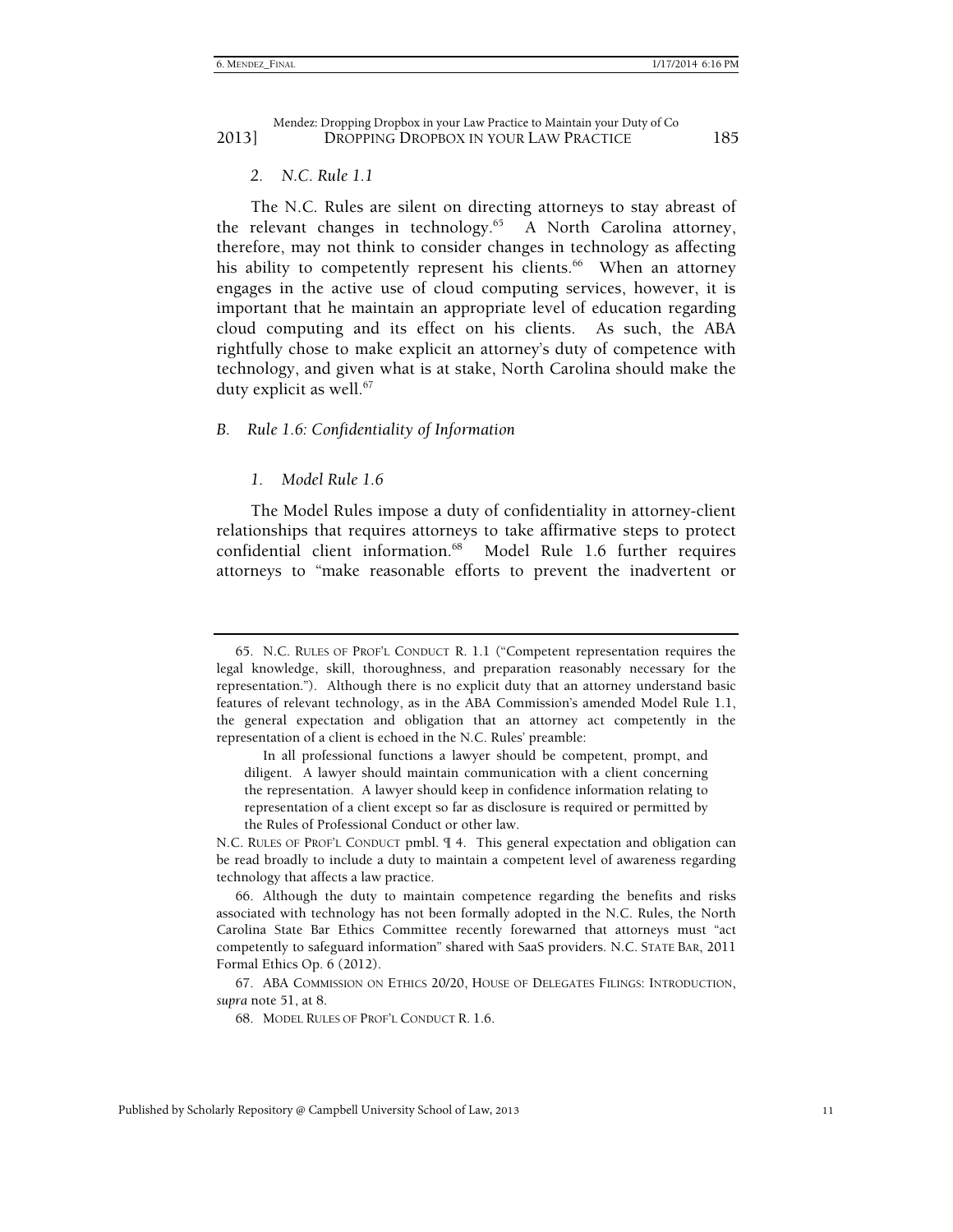#### *2. N.C. Rule 1.1*

The N.C. Rules are silent on directing attorneys to stay abreast of the relevant changes in technology.<sup>65</sup> A North Carolina attorney, therefore, may not think to consider changes in technology as affecting his ability to competently represent his clients.<sup>66</sup> When an attorney engages in the active use of cloud computing services, however, it is important that he maintain an appropriate level of education regarding cloud computing and its effect on his clients. As such, the ABA rightfully chose to make explicit an attorney's duty of competence with technology, and given what is at stake, North Carolina should make the duty explicit as well. $67$ 

#### *B. Rule 1.6: Confidentiality of Information*

#### *1. Model Rule 1.6*

The Model Rules impose a duty of confidentiality in attorney-client relationships that requires attorneys to take affirmative steps to protect confidential client information.<sup>68</sup> Model Rule 1.6 further requires attorneys to "make reasonable efforts to prevent the inadvertent or

 <sup>65.</sup> N.C. RULES OF PROF'L CONDUCT R. 1.1 ("Competent representation requires the legal knowledge, skill, thoroughness, and preparation reasonably necessary for the representation."). Although there is no explicit duty that an attorney understand basic features of relevant technology, as in the ABA Commission's amended Model Rule 1.1, the general expectation and obligation that an attorney act competently in the representation of a client is echoed in the N.C. Rules' preamble:

In all professional functions a lawyer should be competent, prompt, and diligent. A lawyer should maintain communication with a client concerning the representation. A lawyer should keep in confidence information relating to representation of a client except so far as disclosure is required or permitted by the Rules of Professional Conduct or other law.

N.C. RULES OF PROF'L CONDUCT pmbl. ¶ 4. This general expectation and obligation can be read broadly to include a duty to maintain a competent level of awareness regarding technology that affects a law practice.

 <sup>66.</sup> Although the duty to maintain competence regarding the benefits and risks associated with technology has not been formally adopted in the N.C. Rules, the North Carolina State Bar Ethics Committee recently forewarned that attorneys must "act competently to safeguard information" shared with SaaS providers. N.C. STATE BAR, 2011 Formal Ethics Op. 6 (2012).

 <sup>67.</sup> ABA COMMISSION ON ETHICS 20/20, HOUSE OF DELEGATES FILINGS: INTRODUCTION, *supra* note 51, at 8.

 <sup>68.</sup> MODEL RULES OF PROF'L CONDUCT R. 1.6.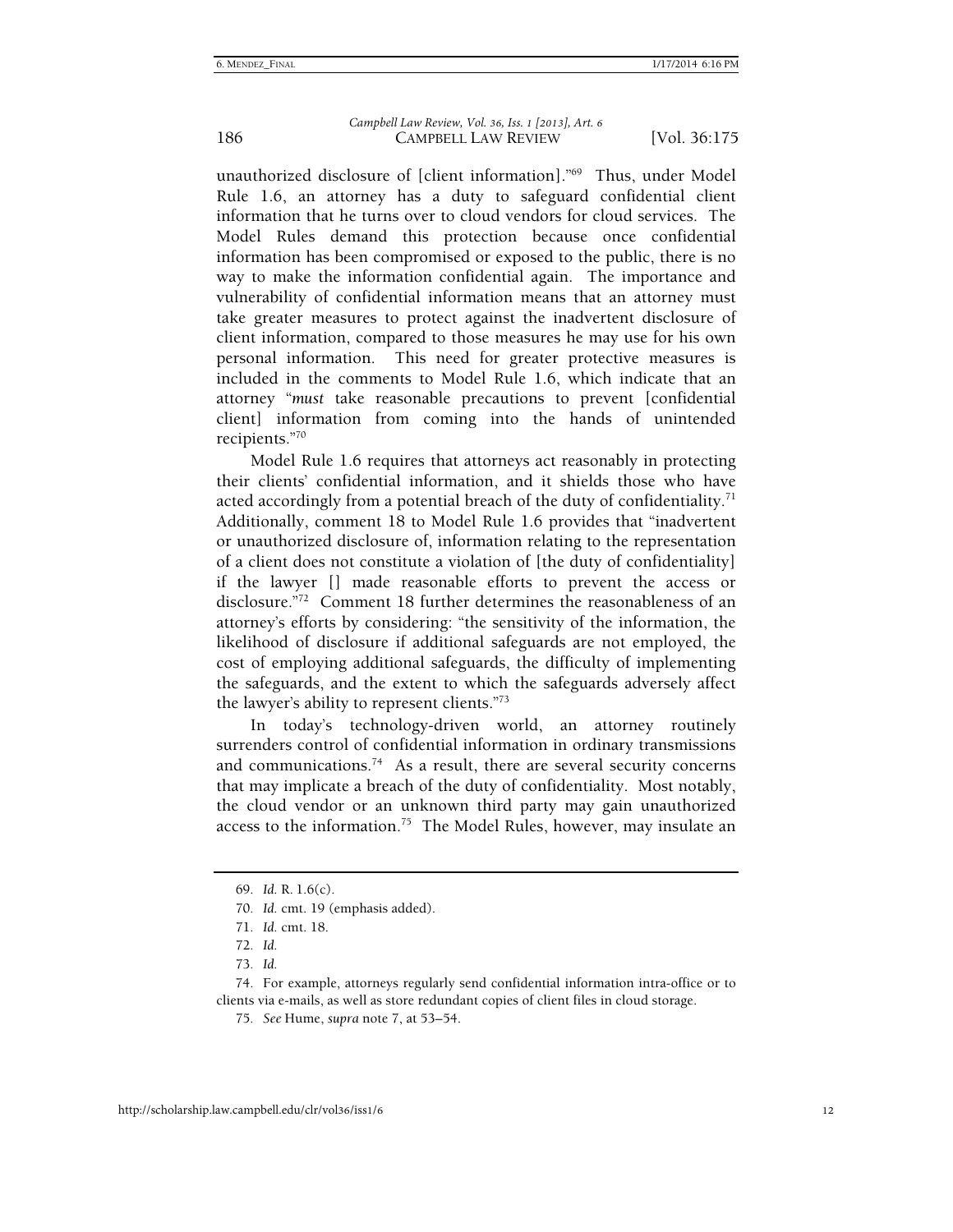unauthorized disclosure of [client information]."69 Thus, under Model Rule 1.6, an attorney has a duty to safeguard confidential client information that he turns over to cloud vendors for cloud services. The Model Rules demand this protection because once confidential information has been compromised or exposed to the public, there is no way to make the information confidential again. The importance and vulnerability of confidential information means that an attorney must take greater measures to protect against the inadvertent disclosure of client information, compared to those measures he may use for his own personal information. This need for greater protective measures is included in the comments to Model Rule 1.6, which indicate that an attorney "*must* take reasonable precautions to prevent [confidential client] information from coming into the hands of unintended recipients."70

Model Rule 1.6 requires that attorneys act reasonably in protecting their clients' confidential information, and it shields those who have acted accordingly from a potential breach of the duty of confidentiality.<sup>71</sup> Additionally, comment 18 to Model Rule 1.6 provides that "inadvertent or unauthorized disclosure of, information relating to the representation of a client does not constitute a violation of [the duty of confidentiality] if the lawyer [] made reasonable efforts to prevent the access or disclosure."72 Comment 18 further determines the reasonableness of an attorney's efforts by considering: "the sensitivity of the information, the likelihood of disclosure if additional safeguards are not employed, the cost of employing additional safeguards, the difficulty of implementing the safeguards, and the extent to which the safeguards adversely affect the lawyer's ability to represent clients."73

In today's technology-driven world, an attorney routinely surrenders control of confidential information in ordinary transmissions and communications.<sup>74</sup> As a result, there are several security concerns that may implicate a breach of the duty of confidentiality. Most notably, the cloud vendor or an unknown third party may gain unauthorized access to the information.<sup>75</sup> The Model Rules, however, may insulate an

<sup>69</sup>*. Id.* R. 1.6(c).

<sup>70</sup>*. Id.* cmt. 19 (emphasis added).

<sup>71</sup>*. Id.* cmt. 18.

<sup>72</sup>*. Id.*

<sup>73</sup>*. Id.*

 <sup>74.</sup> For example, attorneys regularly send confidential information intra-office or to clients via e-mails, as well as store redundant copies of client files in cloud storage.

<sup>75</sup>*. See* Hume, *supra* note 7, at 53–54.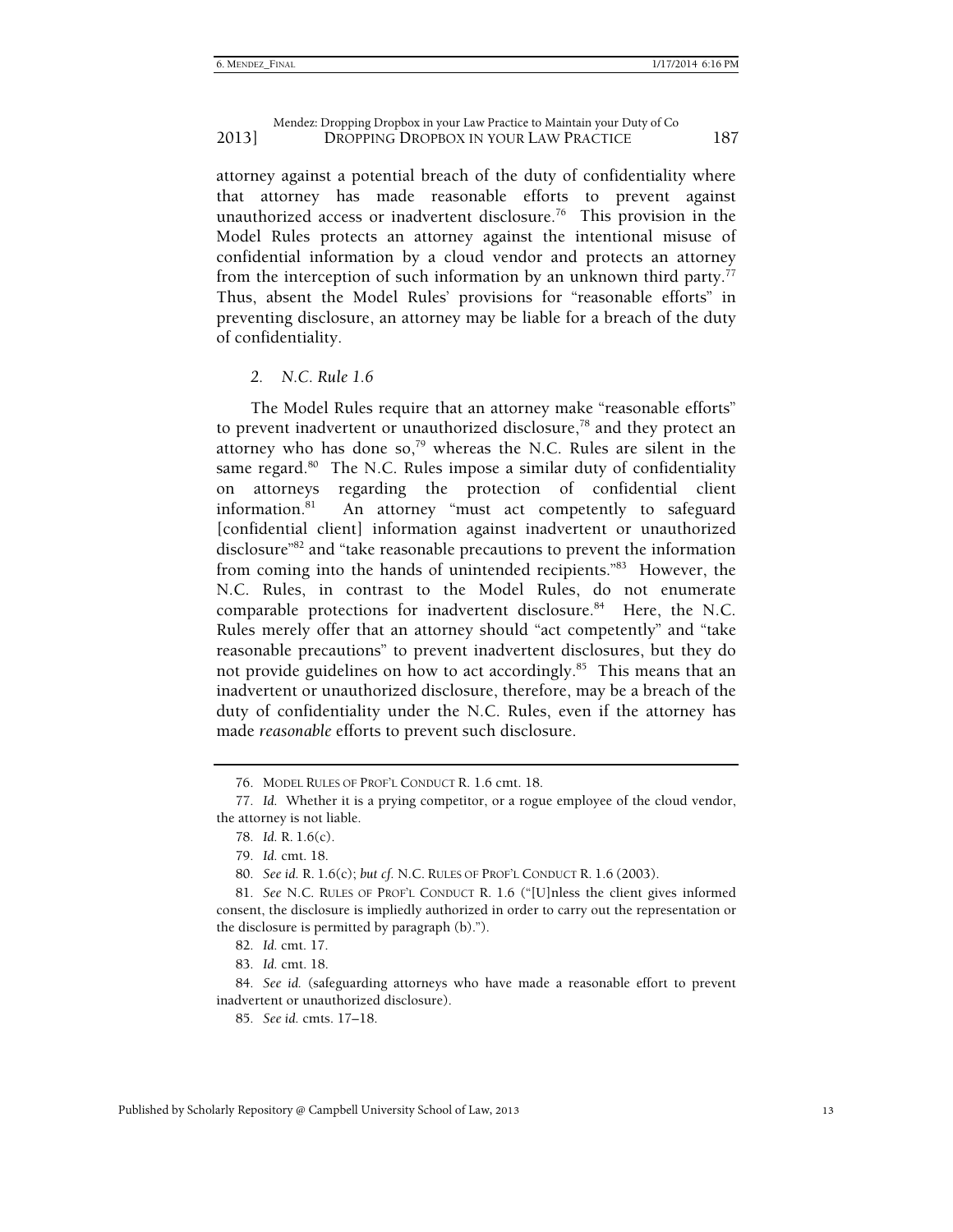attorney against a potential breach of the duty of confidentiality where that attorney has made reasonable efforts to prevent against unauthorized access or inadvertent disclosure.<sup>76</sup> This provision in the Model Rules protects an attorney against the intentional misuse of confidential information by a cloud vendor and protects an attorney from the interception of such information by an unknown third party.<sup>77</sup> Thus, absent the Model Rules' provisions for "reasonable efforts" in preventing disclosure, an attorney may be liable for a breach of the duty of confidentiality.

#### *2. N.C. Rule 1.6*

The Model Rules require that an attorney make "reasonable efforts" to prevent inadvertent or unauthorized disclosure, $^{78}$  and they protect an attorney who has done so, $79$  whereas the N.C. Rules are silent in the same regard. $80$  The N.C. Rules impose a similar duty of confidentiality on attorneys regarding the protection of confidential client information.81 An attorney "must act competently to safeguard [confidential client] information against inadvertent or unauthorized disclosure"82 and "take reasonable precautions to prevent the information from coming into the hands of unintended recipients."<sup>83</sup> However, the N.C. Rules, in contrast to the Model Rules, do not enumerate comparable protections for inadvertent disclosure.<sup>84</sup> Here, the N.C. Rules merely offer that an attorney should "act competently" and "take reasonable precautions" to prevent inadvertent disclosures, but they do not provide guidelines on how to act accordingly.<sup>85</sup> This means that an inadvertent or unauthorized disclosure, therefore, may be a breach of the duty of confidentiality under the N.C. Rules, even if the attorney has made *reasonable* efforts to prevent such disclosure.

85*. See id.* cmts. 17–18.

 <sup>76.</sup> MODEL RULES OF PROF'L CONDUCT R. 1.6 cmt. 18.

<sup>77</sup>*. Id.* Whether it is a prying competitor, or a rogue employee of the cloud vendor, the attorney is not liable.

<sup>78</sup>*. Id.* R. 1.6(c).

<sup>79</sup>*. Id.* cmt. 18.

<sup>80</sup>*. See id.* R. 1.6(c); *but cf.* N.C. RULES OF PROF'L CONDUCT R. 1.6 (2003).

<sup>81</sup>*. See* N.C. RULES OF PROF'L CONDUCT R. 1.6 ("[U]nless the client gives informed consent, the disclosure is impliedly authorized in order to carry out the representation or the disclosure is permitted by paragraph (b).").

<sup>82</sup>*. Id.* cmt. 17.

<sup>83</sup>*. Id.* cmt. 18.

<sup>84</sup>*. See id.* (safeguarding attorneys who have made a reasonable effort to prevent inadvertent or unauthorized disclosure).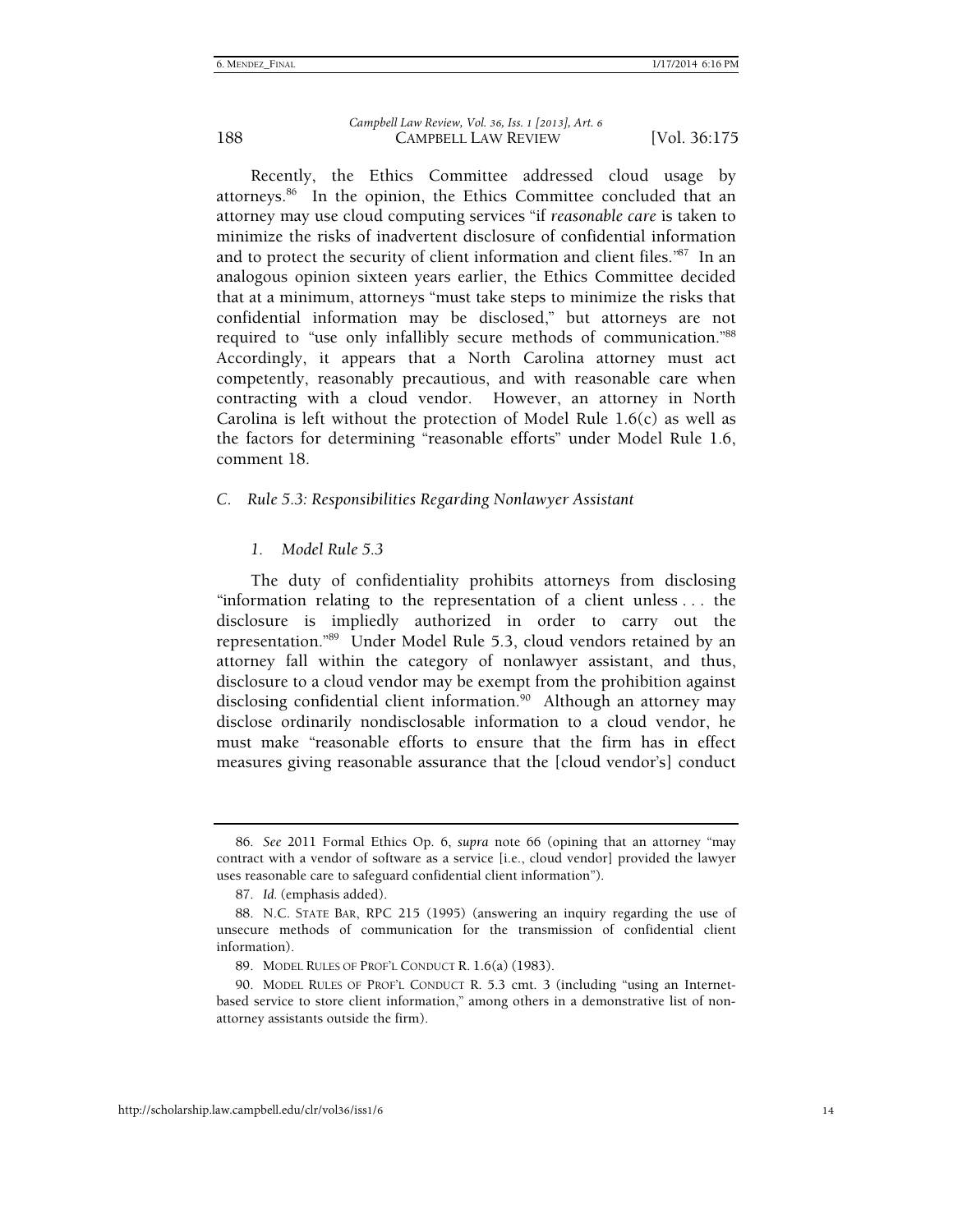Recently, the Ethics Committee addressed cloud usage by attorneys.86 In the opinion, the Ethics Committee concluded that an attorney may use cloud computing services "if *reasonable care* is taken to minimize the risks of inadvertent disclosure of confidential information and to protect the security of client information and client files."87 In an analogous opinion sixteen years earlier, the Ethics Committee decided that at a minimum, attorneys "must take steps to minimize the risks that confidential information may be disclosed," but attorneys are not required to "use only infallibly secure methods of communication."88 Accordingly, it appears that a North Carolina attorney must act competently, reasonably precautious, and with reasonable care when contracting with a cloud vendor. However, an attorney in North Carolina is left without the protection of Model Rule 1.6(c) as well as the factors for determining "reasonable efforts" under Model Rule 1.6, comment 18.

#### *C. Rule 5.3: Responsibilities Regarding Nonlawyer Assistant*

#### *1. Model Rule 5.3*

The duty of confidentiality prohibits attorneys from disclosing "information relating to the representation of a client unless . . . the disclosure is impliedly authorized in order to carry out the representation."89 Under Model Rule 5.3, cloud vendors retained by an attorney fall within the category of nonlawyer assistant, and thus, disclosure to a cloud vendor may be exempt from the prohibition against disclosing confidential client information.<sup>90</sup> Although an attorney may disclose ordinarily nondisclosable information to a cloud vendor, he must make "reasonable efforts to ensure that the firm has in effect measures giving reasonable assurance that the [cloud vendor's] conduct

<sup>86</sup>*. See* 2011 Formal Ethics Op. 6, *supra* note 66 (opining that an attorney "may contract with a vendor of software as a service [i.e., cloud vendor] provided the lawyer uses reasonable care to safeguard confidential client information").

<sup>87</sup>*. Id.* (emphasis added).

 <sup>88.</sup> N.C. STATE BAR, RPC 215 (1995) (answering an inquiry regarding the use of unsecure methods of communication for the transmission of confidential client information).

 <sup>89.</sup> MODEL RULES OF PROF'L CONDUCT R. 1.6(a) (1983).

 <sup>90.</sup> MODEL RULES OF PROF'L CONDUCT R. 5.3 cmt. 3 (including "using an Internetbased service to store client information," among others in a demonstrative list of nonattorney assistants outside the firm).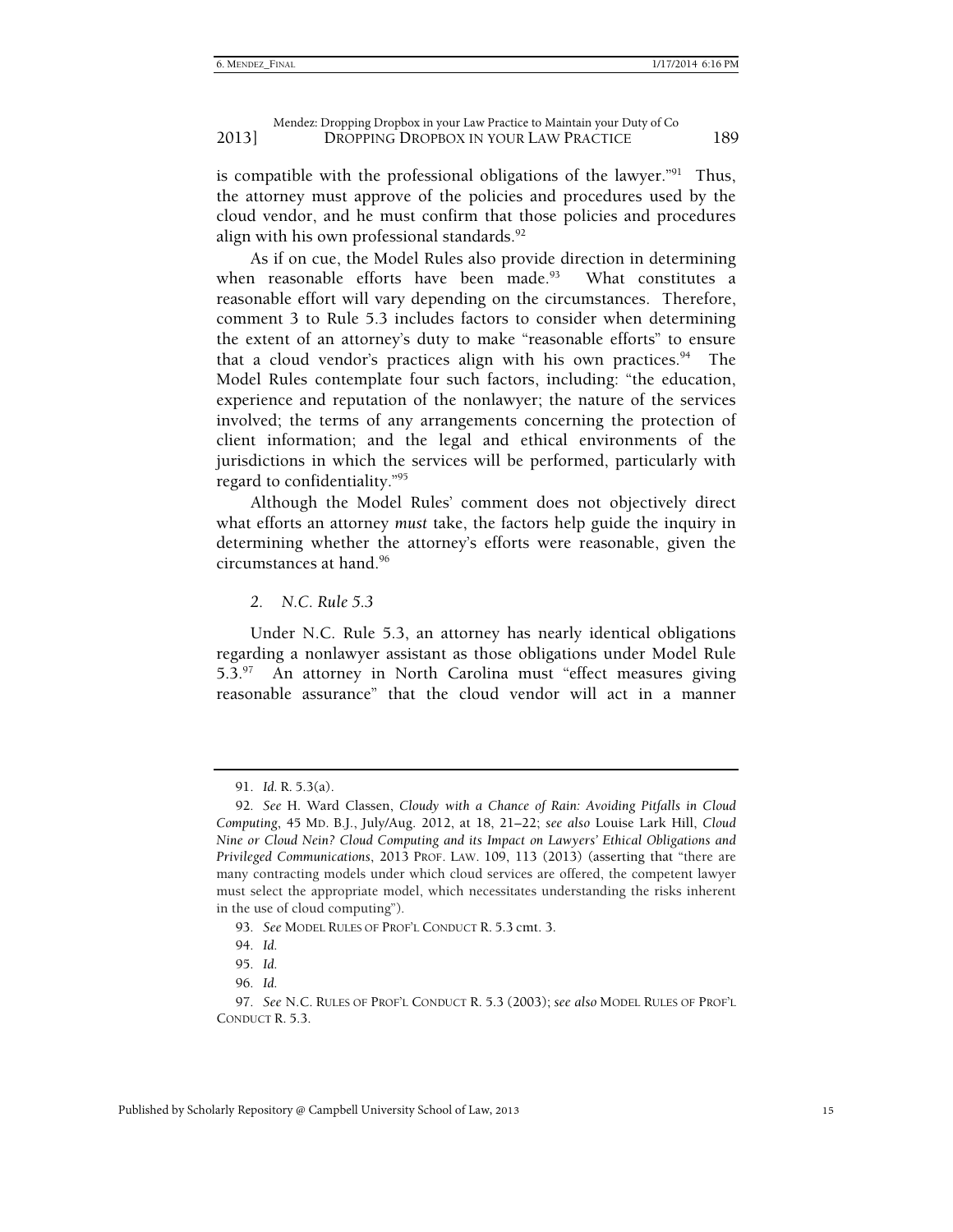is compatible with the professional obligations of the lawyer."<sup>91</sup> Thus, the attorney must approve of the policies and procedures used by the cloud vendor, and he must confirm that those policies and procedures align with his own professional standards.<sup>92</sup>

As if on cue, the Model Rules also provide direction in determining when reasonable efforts have been made.<sup>93</sup> What constitutes a reasonable effort will vary depending on the circumstances. Therefore, comment 3 to Rule 5.3 includes factors to consider when determining the extent of an attorney's duty to make "reasonable efforts" to ensure that a cloud vendor's practices align with his own practices.<sup>94</sup> The Model Rules contemplate four such factors, including: "the education, experience and reputation of the nonlawyer; the nature of the services involved; the terms of any arrangements concerning the protection of client information; and the legal and ethical environments of the jurisdictions in which the services will be performed, particularly with regard to confidentiality."95

Although the Model Rules' comment does not objectively direct what efforts an attorney *must* take, the factors help guide the inquiry in determining whether the attorney's efforts were reasonable, given the circumstances at hand.96

*2. N.C. Rule 5.3*

Under N.C. Rule 5.3, an attorney has nearly identical obligations regarding a nonlawyer assistant as those obligations under Model Rule 5.3.97 An attorney in North Carolina must "effect measures giving reasonable assurance" that the cloud vendor will act in a manner

 <sup>91.</sup> *Id.* R. 5.3(a).

<sup>92</sup>*. See* H. Ward Classen, *Cloudy with a Chance of Rain: Avoiding Pitfalls in Cloud Computing*, 45 MD. B.J., July/Aug. 2012, at 18, 21–22; *see also* Louise Lark Hill, *Cloud Nine or Cloud Nein? Cloud Computing and its Impact on Lawyers' Ethical Obligations and Privileged Communications*, 2013 PROF. LAW. 109, 113 (2013) (asserting that "there are many contracting models under which cloud services are offered, the competent lawyer must select the appropriate model, which necessitates understanding the risks inherent in the use of cloud computing").

<sup>93</sup>*. See* MODEL RULES OF PROF'L CONDUCT R. 5.3 cmt. 3.

<sup>94</sup>*. Id.*

<sup>95</sup>*. Id.*

<sup>96</sup>*. Id.*

<sup>97</sup>*. See* N.C. RULES OF PROF'L CONDUCT R. 5.3 (2003); *see also* MODEL RULES OF PROF'L CONDUCT R. 5.3.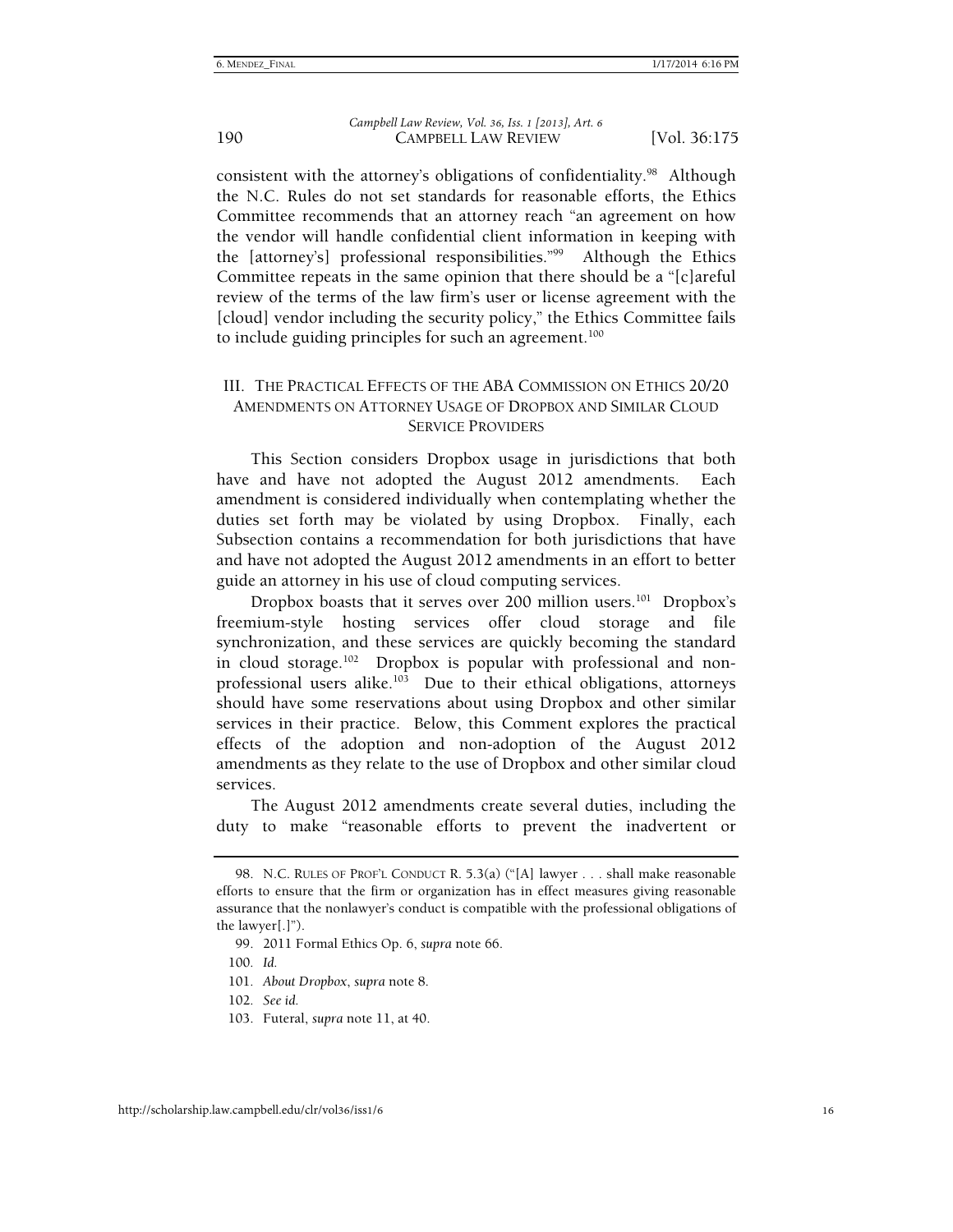consistent with the attorney's obligations of confidentiality.<sup>98</sup> Although the N.C. Rules do not set standards for reasonable efforts, the Ethics Committee recommends that an attorney reach "an agreement on how the vendor will handle confidential client information in keeping with the [attorney's] professional responsibilities."99 Although the Ethics Committee repeats in the same opinion that there should be a "[c]areful review of the terms of the law firm's user or license agreement with the [cloud] vendor including the security policy," the Ethics Committee fails to include guiding principles for such an agreement.<sup>100</sup>

#### III. THE PRACTICAL EFFECTS OF THE ABA COMMISSION ON ETHICS 20/20 AMENDMENTS ON ATTORNEY USAGE OF DROPBOX AND SIMILAR CLOUD SERVICE PROVIDERS

This Section considers Dropbox usage in jurisdictions that both have and have not adopted the August 2012 amendments. Each amendment is considered individually when contemplating whether the duties set forth may be violated by using Dropbox. Finally, each Subsection contains a recommendation for both jurisdictions that have and have not adopted the August 2012 amendments in an effort to better guide an attorney in his use of cloud computing services.

Dropbox boasts that it serves over 200 million users.<sup>101</sup> Dropbox's freemium-style hosting services offer cloud storage and file synchronization, and these services are quickly becoming the standard in cloud storage.<sup>102</sup> Dropbox is popular with professional and nonprofessional users alike. $103$  Due to their ethical obligations, attorneys should have some reservations about using Dropbox and other similar services in their practice. Below, this Comment explores the practical effects of the adoption and non-adoption of the August 2012 amendments as they relate to the use of Dropbox and other similar cloud services.

The August 2012 amendments create several duties, including the duty to make "reasonable efforts to prevent the inadvertent or

 <sup>98.</sup> N.C. RULES OF PROF'L CONDUCT R. 5.3(a) ("[A] lawyer . . . shall make reasonable efforts to ensure that the firm or organization has in effect measures giving reasonable assurance that the nonlawyer's conduct is compatible with the professional obligations of the lawyer[.]").

 <sup>99. 2011</sup> Formal Ethics Op. 6, *supra* note 66.

<sup>100</sup>*. Id.*

<sup>101</sup>*. About Dropbox*, *supra* note 8.

<sup>102</sup>*. See id.*

 <sup>103.</sup> Futeral, *supra* note 11, at 40.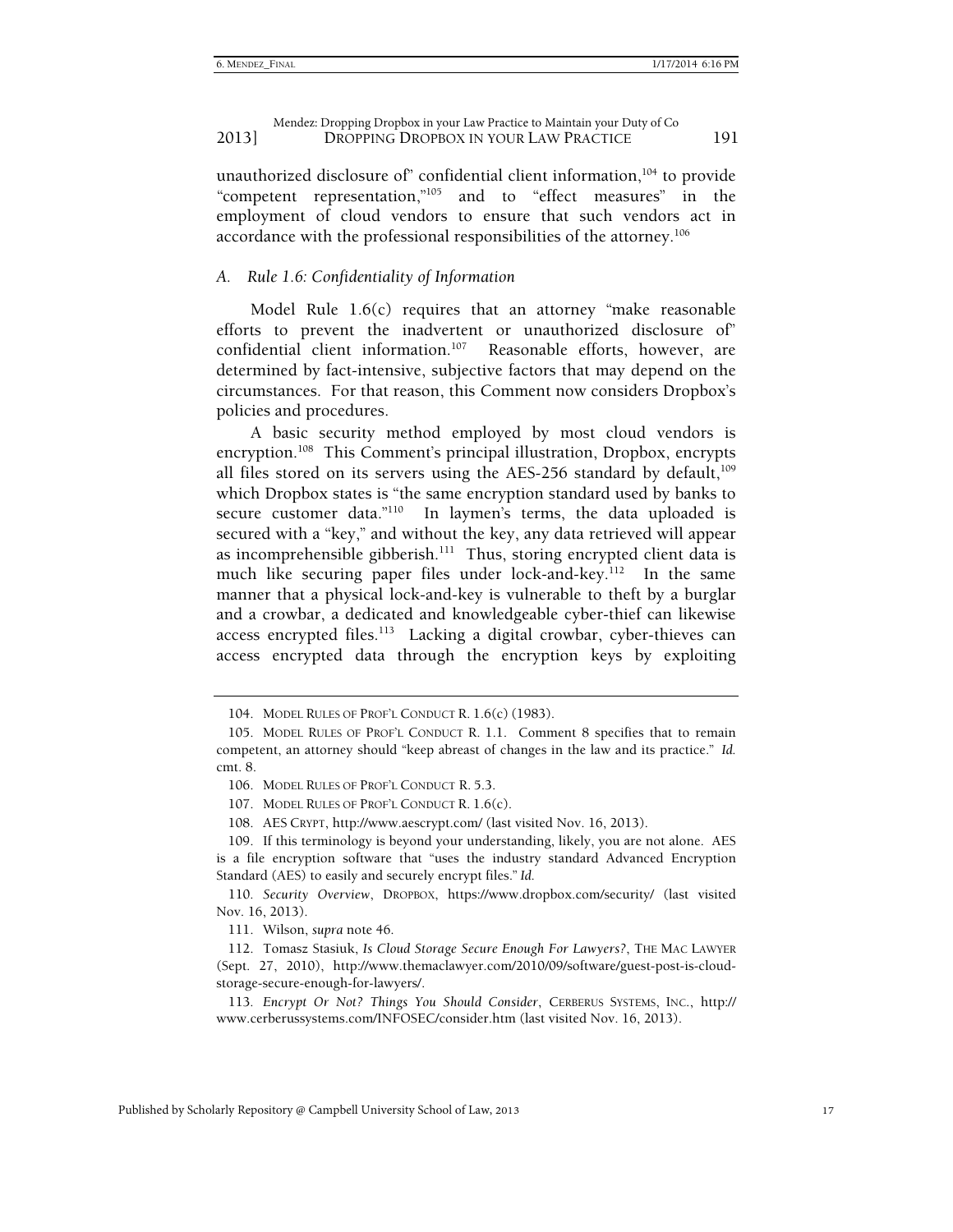unauthorized disclosure of confidential client information,<sup>104</sup> to provide "competent representation,"<sup>105</sup> and to "effect measures" in the and to "effect measures" in the employment of cloud vendors to ensure that such vendors act in accordance with the professional responsibilities of the attorney.106

#### *A. Rule 1.6: Confidentiality of Information*

Model Rule 1.6(c) requires that an attorney "make reasonable efforts to prevent the inadvertent or unauthorized disclosure of" confidential client information.<sup>107</sup> Reasonable efforts, however, are determined by fact-intensive, subjective factors that may depend on the circumstances. For that reason, this Comment now considers Dropbox's policies and procedures.

A basic security method employed by most cloud vendors is encryption.<sup>108</sup> This Comment's principal illustration, Dropbox, encrypts all files stored on its servers using the AES-256 standard by default, $109$ which Dropbox states is "the same encryption standard used by banks to secure customer data."<sup>110</sup> In laymen's terms, the data uploaded is secured with a "key," and without the key, any data retrieved will appear as incomprehensible gibberish.<sup>111</sup> Thus, storing encrypted client data is much like securing paper files under lock-and-key.<sup>112</sup> In the same manner that a physical lock-and-key is vulnerable to theft by a burglar and a crowbar, a dedicated and knowledgeable cyber-thief can likewise access encrypted files.<sup>113</sup> Lacking a digital crowbar, cyber-thieves can access encrypted data through the encryption keys by exploiting

108. AES CRYPT, http://www.aescrypt.com/ (last visited Nov. 16, 2013).

110*. Security Overview*, DROPBOX, https://www.dropbox.com/security/ (last visited Nov. 16, 2013).

111. Wilson, *supra* note 46.

 112. Tomasz Stasiuk, *Is Cloud Storage Secure Enough For Lawyers?*, THE MAC LAWYER (Sept. 27, 2010), http://www.themaclawyer.com/2010/09/software/guest-post-is-cloudstorage-secure-enough-for-lawyers/.

113*. Encrypt Or Not? Things You Should Consider*, CERBERUS SYSTEMS, INC., http:// www.cerberussystems.com/INFOSEC/consider.htm (last visited Nov. 16, 2013).

 <sup>104.</sup> MODEL RULES OF PROF'L CONDUCT R. 1.6(c) (1983).

 <sup>105.</sup> MODEL RULES OF PROF'L CONDUCT R. 1.1. Comment 8 specifies that to remain competent, an attorney should "keep abreast of changes in the law and its practice." *Id.* cmt. 8.

 <sup>106.</sup> MODEL RULES OF PROF'L CONDUCT R. 5.3.

 <sup>107.</sup> MODEL RULES OF PROF'L CONDUCT R. 1.6(c).

 <sup>109.</sup> If this terminology is beyond your understanding, likely, you are not alone. AES is a file encryption software that "uses the industry standard Advanced Encryption Standard (AES) to easily and securely encrypt files." *Id.*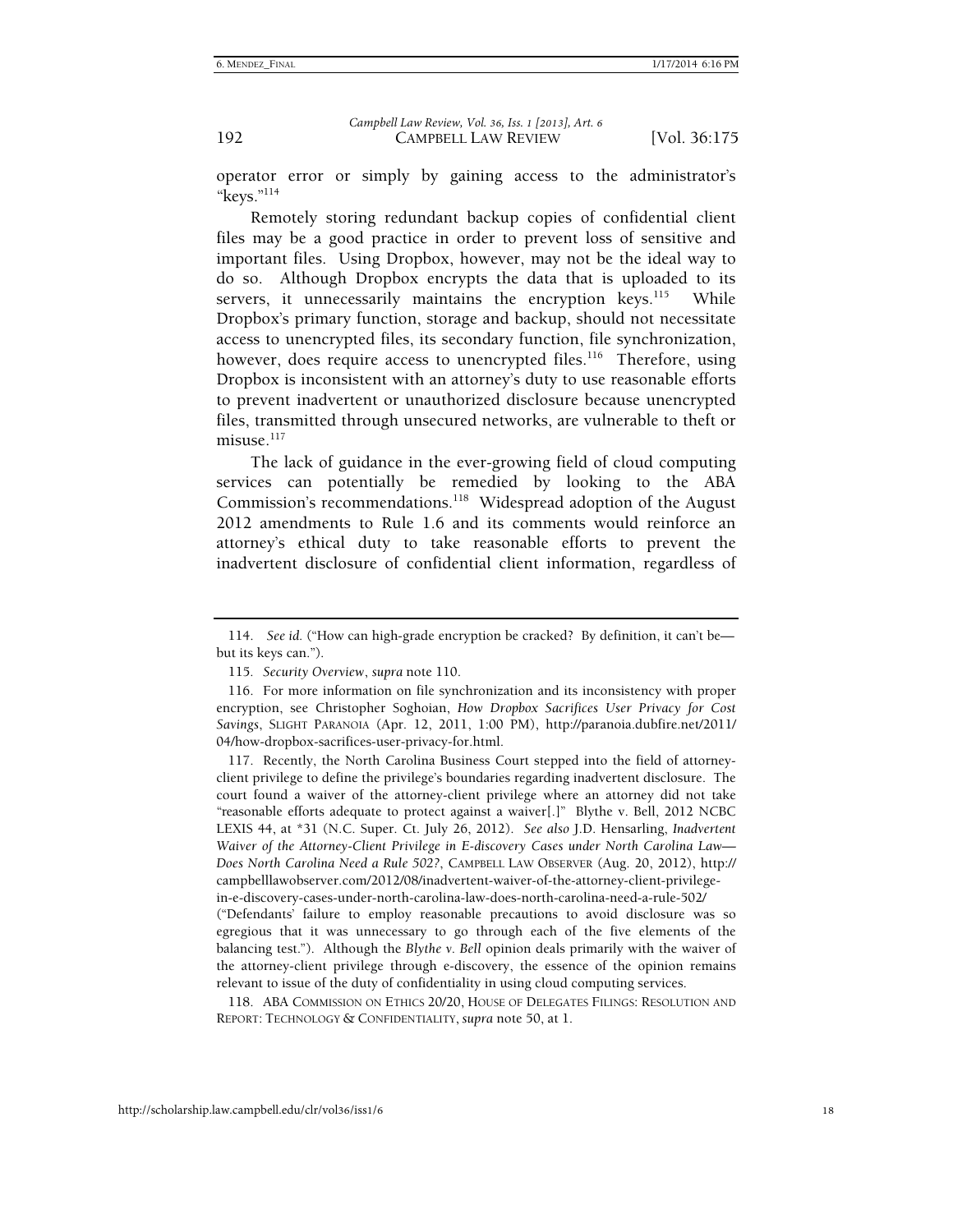operator error or simply by gaining access to the administrator's "keys."114

Remotely storing redundant backup copies of confidential client files may be a good practice in order to prevent loss of sensitive and important files. Using Dropbox, however, may not be the ideal way to do so. Although Dropbox encrypts the data that is uploaded to its servers, it unnecessarily maintains the encryption keys.<sup>115</sup> While Dropbox's primary function, storage and backup, should not necessitate access to unencrypted files, its secondary function, file synchronization, however, does require access to unencrypted files.<sup>116</sup> Therefore, using Dropbox is inconsistent with an attorney's duty to use reasonable efforts to prevent inadvertent or unauthorized disclosure because unencrypted files, transmitted through unsecured networks, are vulnerable to theft or misuse. $117$ 

The lack of guidance in the ever-growing field of cloud computing services can potentially be remedied by looking to the ABA Commission's recommendations.118 Widespread adoption of the August 2012 amendments to Rule 1.6 and its comments would reinforce an attorney's ethical duty to take reasonable efforts to prevent the inadvertent disclosure of confidential client information, regardless of

 117. Recently, the North Carolina Business Court stepped into the field of attorneyclient privilege to define the privilege's boundaries regarding inadvertent disclosure. The court found a waiver of the attorney-client privilege where an attorney did not take "reasonable efforts adequate to protect against a waiver[.]" Blythe v. Bell, 2012 NCBC LEXIS 44, at \*31 (N.C. Super. Ct. July 26, 2012). *See also* J.D. Hensarling, *Inadvertent Waiver of the Attorney-Client Privilege in E-discovery Cases under North Carolina Law— Does North Carolina Need a Rule 502?*, CAMPBELL LAW OBSERVER (Aug. 20, 2012), http:// campbelllawobserver.com/2012/08/inadvertent-waiver-of-the-attorney-client-privilegein-e-discovery-cases-under-north-carolina-law-does-north-carolina-need-a-rule-502/ ("Defendants' failure to employ reasonable precautions to avoid disclosure was so

egregious that it was unnecessary to go through each of the five elements of the balancing test."). Although the *Blythe v. Bell* opinion deals primarily with the waiver of the attorney-client privilege through e-discovery, the essence of the opinion remains relevant to issue of the duty of confidentiality in using cloud computing services.

 118. ABA COMMISSION ON ETHICS 20/20, HOUSE OF DELEGATES FILINGS: RESOLUTION AND REPORT: TECHNOLOGY & CONFIDENTIALITY, *supra* note 50, at 1.

 <sup>114.</sup> *See id.* ("How can high-grade encryption be cracked? By definition, it can't be but its keys can.").

<sup>115</sup>*. Security Overview*, *supra* note 110.

 <sup>116.</sup> For more information on file synchronization and its inconsistency with proper encryption, see Christopher Soghoian, *How Dropbox Sacrifices User Privacy for Cost Savings*, SLIGHT PARANOIA (Apr. 12, 2011, 1:00 PM), http://paranoia.dubfire.net/2011/ 04/how-dropbox-sacrifices-user-privacy-for.html.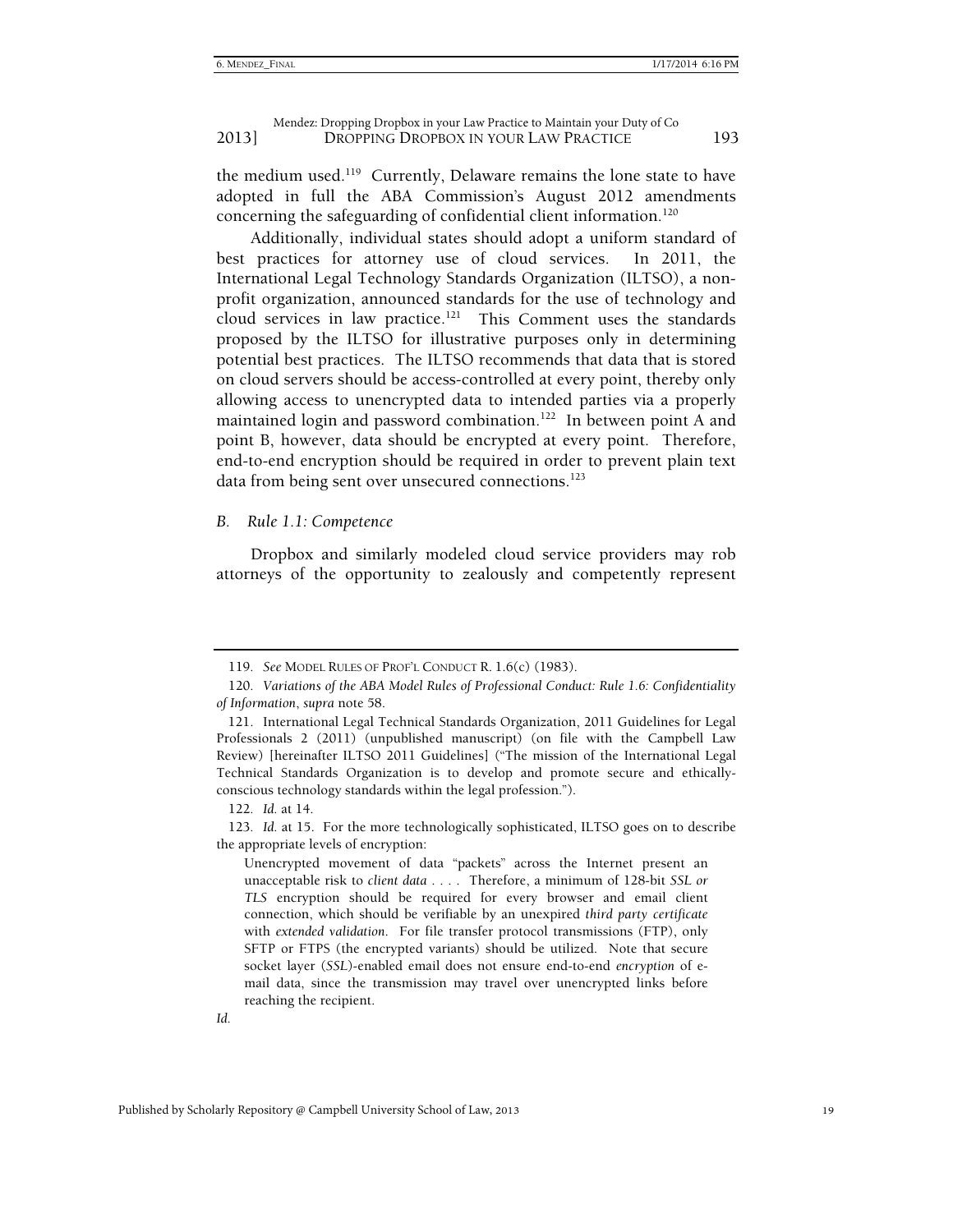the medium used.119 Currently, Delaware remains the lone state to have adopted in full the ABA Commission's August 2012 amendments concerning the safeguarding of confidential client information.<sup>120</sup>

Additionally, individual states should adopt a uniform standard of best practices for attorney use of cloud services. In 2011, the International Legal Technology Standards Organization (ILTSO), a nonprofit organization, announced standards for the use of technology and cloud services in law practice.121 This Comment uses the standards proposed by the ILTSO for illustrative purposes only in determining potential best practices. The ILTSO recommends that data that is stored on cloud servers should be access-controlled at every point, thereby only allowing access to unencrypted data to intended parties via a properly maintained login and password combination.<sup>122</sup> In between point A and point B, however, data should be encrypted at every point. Therefore, end-to-end encryption should be required in order to prevent plain text data from being sent over unsecured connections.<sup>123</sup>

*B. Rule 1.1: Competence* 

Dropbox and similarly modeled cloud service providers may rob attorneys of the opportunity to zealously and competently represent

<sup>119</sup>*. See* MODEL RULES OF PROF'L CONDUCT R. 1.6(c) (1983).

<sup>120</sup>*. Variations of the ABA Model Rules of Professional Conduct: Rule 1.6: Confidentiality of Information*, *supra* note 58.

 <sup>121.</sup> International Legal Technical Standards Organization, 2011 Guidelines for Legal Professionals 2 (2011) (unpublished manuscript) (on file with the Campbell Law Review) [hereinafter ILTSO 2011 Guidelines] ("The mission of the International Legal Technical Standards Organization is to develop and promote secure and ethicallyconscious technology standards within the legal profession.").

<sup>122</sup>*. Id.* at 14.

<sup>123</sup>*. Id.* at 15. For the more technologically sophisticated, ILTSO goes on to describe the appropriate levels of encryption:

Unencrypted movement of data "packets" across the Internet present an unacceptable risk to *client data* . . . . Therefore, a minimum of 128-bit *SSL or TLS* encryption should be required for every browser and email client connection, which should be verifiable by an unexpired *third party certificate* with *extended validation*. For file transfer protocol transmissions (FTP), only SFTP or FTPS (the encrypted variants) should be utilized. Note that secure socket layer (*SSL*)-enabled email does not ensure end-to-end *encryption* of email data, since the transmission may travel over unencrypted links before reaching the recipient.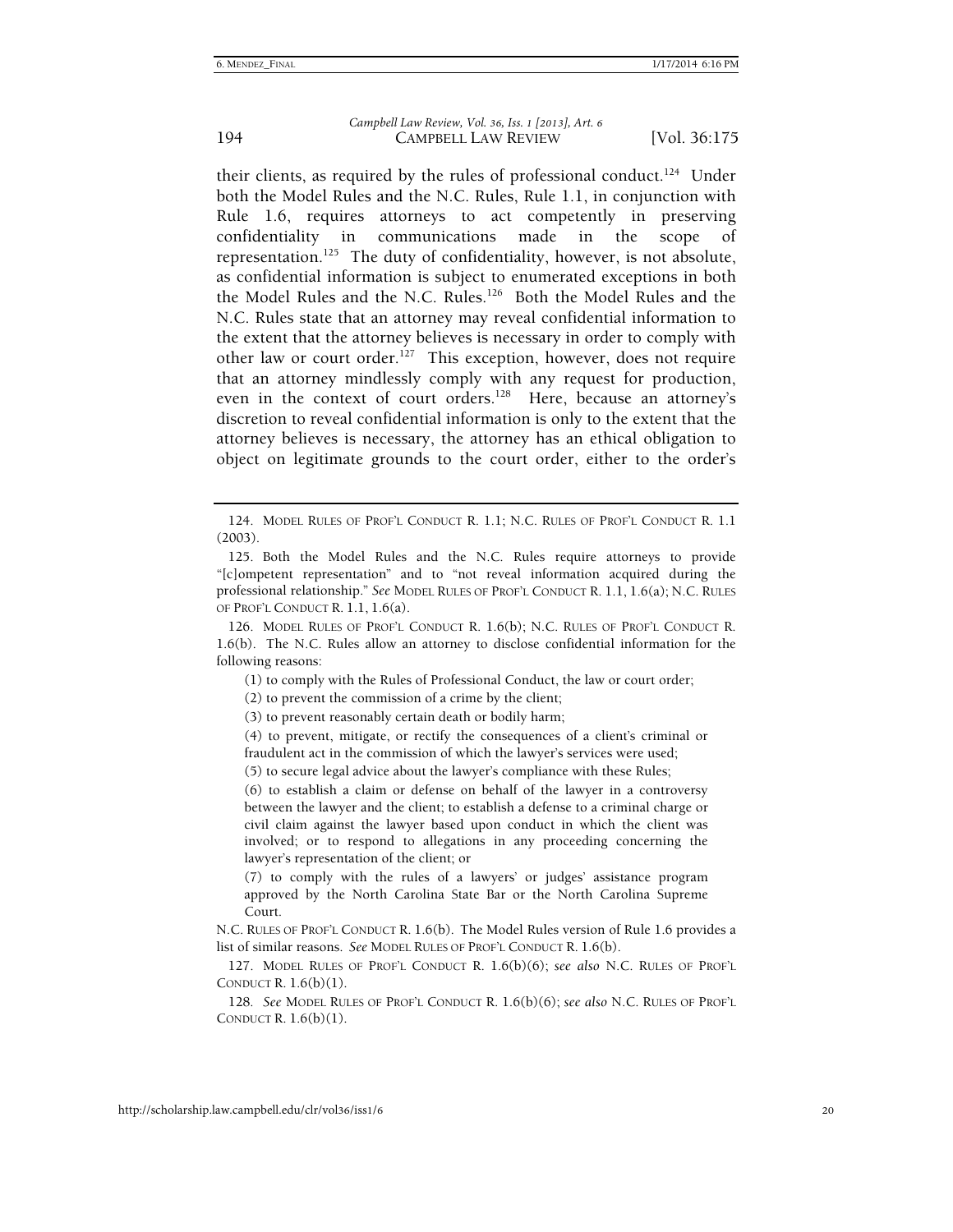their clients, as required by the rules of professional conduct.<sup>124</sup> Under both the Model Rules and the N.C. Rules, Rule 1.1, in conjunction with Rule 1.6, requires attorneys to act competently in preserving confidentiality in communications made in the scope of representation.<sup>125</sup> The duty of confidentiality, however, is not absolute, as confidential information is subject to enumerated exceptions in both the Model Rules and the N.C. Rules.126 Both the Model Rules and the N.C. Rules state that an attorney may reveal confidential information to the extent that the attorney believes is necessary in order to comply with other law or court order.<sup>127</sup> This exception, however, does not require that an attorney mindlessly comply with any request for production, even in the context of court orders.<sup>128</sup> Here, because an attorney's discretion to reveal confidential information is only to the extent that the attorney believes is necessary, the attorney has an ethical obligation to object on legitimate grounds to the court order, either to the order's

(1) to comply with the Rules of Professional Conduct, the law or court order;

(2) to prevent the commission of a crime by the client;

(3) to prevent reasonably certain death or bodily harm;

(5) to secure legal advice about the lawyer's compliance with these Rules;

(6) to establish a claim or defense on behalf of the lawyer in a controversy between the lawyer and the client; to establish a defense to a criminal charge or civil claim against the lawyer based upon conduct in which the client was involved; or to respond to allegations in any proceeding concerning the lawyer's representation of the client; or

(7) to comply with the rules of a lawyers' or judges' assistance program approved by the North Carolina State Bar or the North Carolina Supreme Court.

N.C. RULES OF PROF'L CONDUCT R. 1.6(b). The Model Rules version of Rule 1.6 provides a list of similar reasons. *See* MODEL RULES OF PROF'L CONDUCT R. 1.6(b).

 127. MODEL RULES OF PROF'L CONDUCT R. 1.6(b)(6); *see also* N.C. RULES OF PROF'L CONDUCT R.  $1.6(b)(1)$ .

128*. See* MODEL RULES OF PROF'L CONDUCT R. 1.6(b)(6); *see also* N.C. RULES OF PROF'L CONDUCT R. 1.6(b)(1).

 <sup>124.</sup> MODEL RULES OF PROF'L CONDUCT R. 1.1; N.C. RULES OF PROF'L CONDUCT R. 1.1 (2003).

 <sup>125.</sup> Both the Model Rules and the N.C. Rules require attorneys to provide "[c]ompetent representation" and to "not reveal information acquired during the professional relationship." *See* MODEL RULES OF PROF'L CONDUCT R. 1.1, 1.6(a); N.C. RULES OF PROF'L CONDUCT R. 1.1, 1.6(a).

 <sup>126.</sup> MODEL RULES OF PROF'L CONDUCT R. 1.6(b); N.C. RULES OF PROF'L CONDUCT R. 1.6(b). The N.C. Rules allow an attorney to disclose confidential information for the following reasons:

<sup>(4)</sup> to prevent, mitigate, or rectify the consequences of a client's criminal or fraudulent act in the commission of which the lawyer's services were used;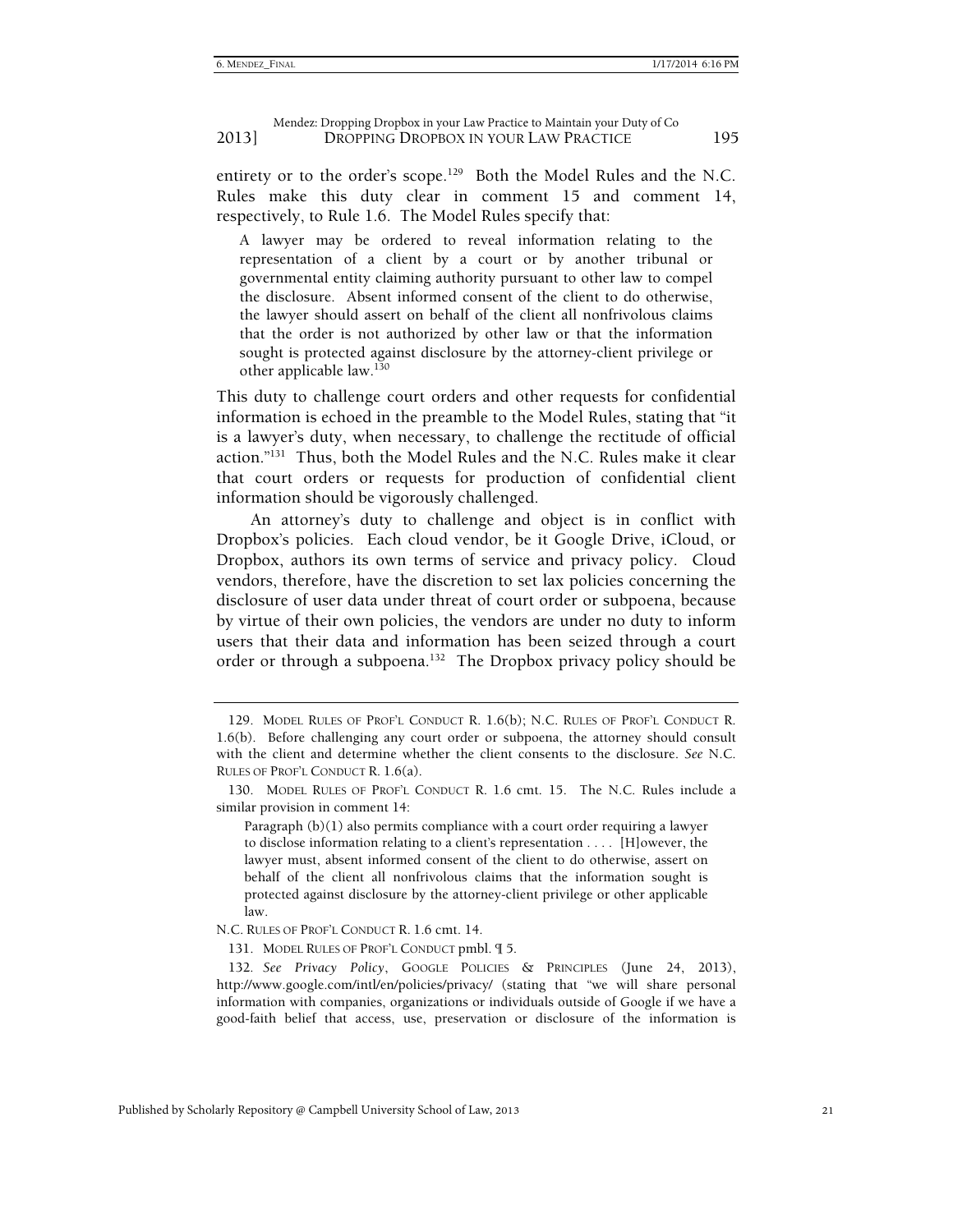entirety or to the order's scope.<sup>129</sup> Both the Model Rules and the N.C. Rules make this duty clear in comment 15 and comment 14, respectively, to Rule 1.6. The Model Rules specify that:

A lawyer may be ordered to reveal information relating to the representation of a client by a court or by another tribunal or governmental entity claiming authority pursuant to other law to compel the disclosure. Absent informed consent of the client to do otherwise, the lawyer should assert on behalf of the client all nonfrivolous claims that the order is not authorized by other law or that the information sought is protected against disclosure by the attorney-client privilege or other applicable law.<sup>130</sup>

This duty to challenge court orders and other requests for confidential information is echoed in the preamble to the Model Rules, stating that "it is a lawyer's duty, when necessary, to challenge the rectitude of official action."131 Thus, both the Model Rules and the N.C. Rules make it clear that court orders or requests for production of confidential client information should be vigorously challenged.

An attorney's duty to challenge and object is in conflict with Dropbox's policies. Each cloud vendor, be it Google Drive, iCloud, or Dropbox, authors its own terms of service and privacy policy. Cloud vendors, therefore, have the discretion to set lax policies concerning the disclosure of user data under threat of court order or subpoena, because by virtue of their own policies, the vendors are under no duty to inform users that their data and information has been seized through a court order or through a subpoena.<sup>132</sup> The Dropbox privacy policy should be

Paragraph (b)(1) also permits compliance with a court order requiring a lawyer to disclose information relating to a client's representation . . . . [H]owever, the lawyer must, absent informed consent of the client to do otherwise, assert on behalf of the client all nonfrivolous claims that the information sought is protected against disclosure by the attorney-client privilege or other applicable law.

N.C. RULES OF PROF'L CONDUCT R. 1.6 cmt. 14.

131. MODEL RULES OF PROF'L CONDUCT pmbl. ¶ 5.

 <sup>129.</sup> MODEL RULES OF PROF'L CONDUCT R. 1.6(b); N.C. RULES OF PROF'L CONDUCT R. 1.6(b). Before challenging any court order or subpoena, the attorney should consult with the client and determine whether the client consents to the disclosure. *See* N.C. RULES OF PROF'L CONDUCT R. 1.6(a).

 <sup>130.</sup> MODEL RULES OF PROF'L CONDUCT R. 1.6 cmt. 15. The N.C. Rules include a similar provision in comment 14:

<sup>132</sup>*. See Privacy Policy*, GOOGLE POLICIES & PRINCIPLES (June 24, 2013), http://www.google.com/intl/en/policies/privacy/ (stating that "we will share personal information with companies, organizations or individuals outside of Google if we have a good-faith belief that access, use, preservation or disclosure of the information is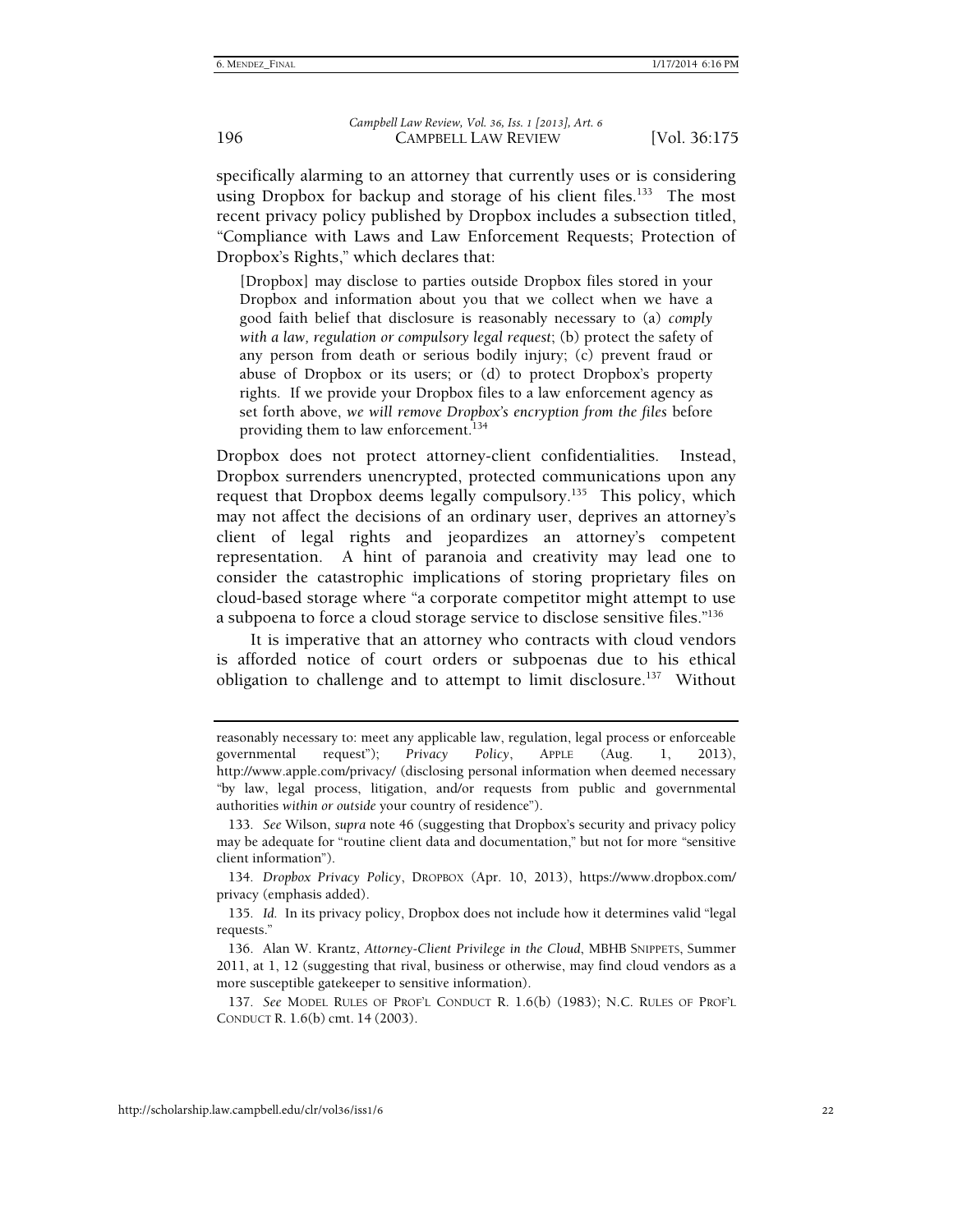specifically alarming to an attorney that currently uses or is considering using Dropbox for backup and storage of his client files.<sup>133</sup> The most recent privacy policy published by Dropbox includes a subsection titled, "Compliance with Laws and Law Enforcement Requests; Protection of Dropbox's Rights," which declares that:

[Dropbox] may disclose to parties outside Dropbox files stored in your Dropbox and information about you that we collect when we have a good faith belief that disclosure is reasonably necessary to (a) *comply with a law, regulation or compulsory legal request*; (b) protect the safety of any person from death or serious bodily injury; (c) prevent fraud or abuse of Dropbox or its users; or (d) to protect Dropbox's property rights. If we provide your Dropbox files to a law enforcement agency as set forth above, *we will remove Dropbox's encryption from the files* before providing them to law enforcement.<sup>134</sup>

Dropbox does not protect attorney-client confidentialities. Instead, Dropbox surrenders unencrypted, protected communications upon any request that Dropbox deems legally compulsory.<sup>135</sup> This policy, which may not affect the decisions of an ordinary user, deprives an attorney's client of legal rights and jeopardizes an attorney's competent representation. A hint of paranoia and creativity may lead one to consider the catastrophic implications of storing proprietary files on cloud-based storage where "a corporate competitor might attempt to use a subpoena to force a cloud storage service to disclose sensitive files."136

It is imperative that an attorney who contracts with cloud vendors is afforded notice of court orders or subpoenas due to his ethical obligation to challenge and to attempt to limit disclosure.<sup>137</sup> Without

reasonably necessary to: meet any applicable law, regulation, legal process or enforceable governmental request"); *Privacy Policy*, APPLE (Aug. 1, 2013), http://www.apple.com/privacy/ (disclosing personal information when deemed necessary "by law, legal process, litigation, and/or requests from public and governmental authorities *within or outside* your country of residence").

<sup>133</sup>*. See* Wilson, *supra* note 46 (suggesting that Dropbox's security and privacy policy may be adequate for "routine client data and documentation," but not for more "sensitive client information").

<sup>134</sup>*. Dropbox Privacy Policy*, DROPBOX (Apr. 10, 2013), https://www.dropbox.com/ privacy (emphasis added).

<sup>135</sup>*. Id.* In its privacy policy, Dropbox does not include how it determines valid "legal requests."

 <sup>136.</sup> Alan W. Krantz, *Attorney-Client Privilege in the Cloud*, MBHB SNIPPETS, Summer 2011, at 1, 12 (suggesting that rival, business or otherwise, may find cloud vendors as a more susceptible gatekeeper to sensitive information).

<sup>137</sup>*. See* MODEL RULES OF PROF'L CONDUCT R. 1.6(b) (1983); N.C. RULES OF PROF'L CONDUCT R. 1.6(b) cmt. 14 (2003).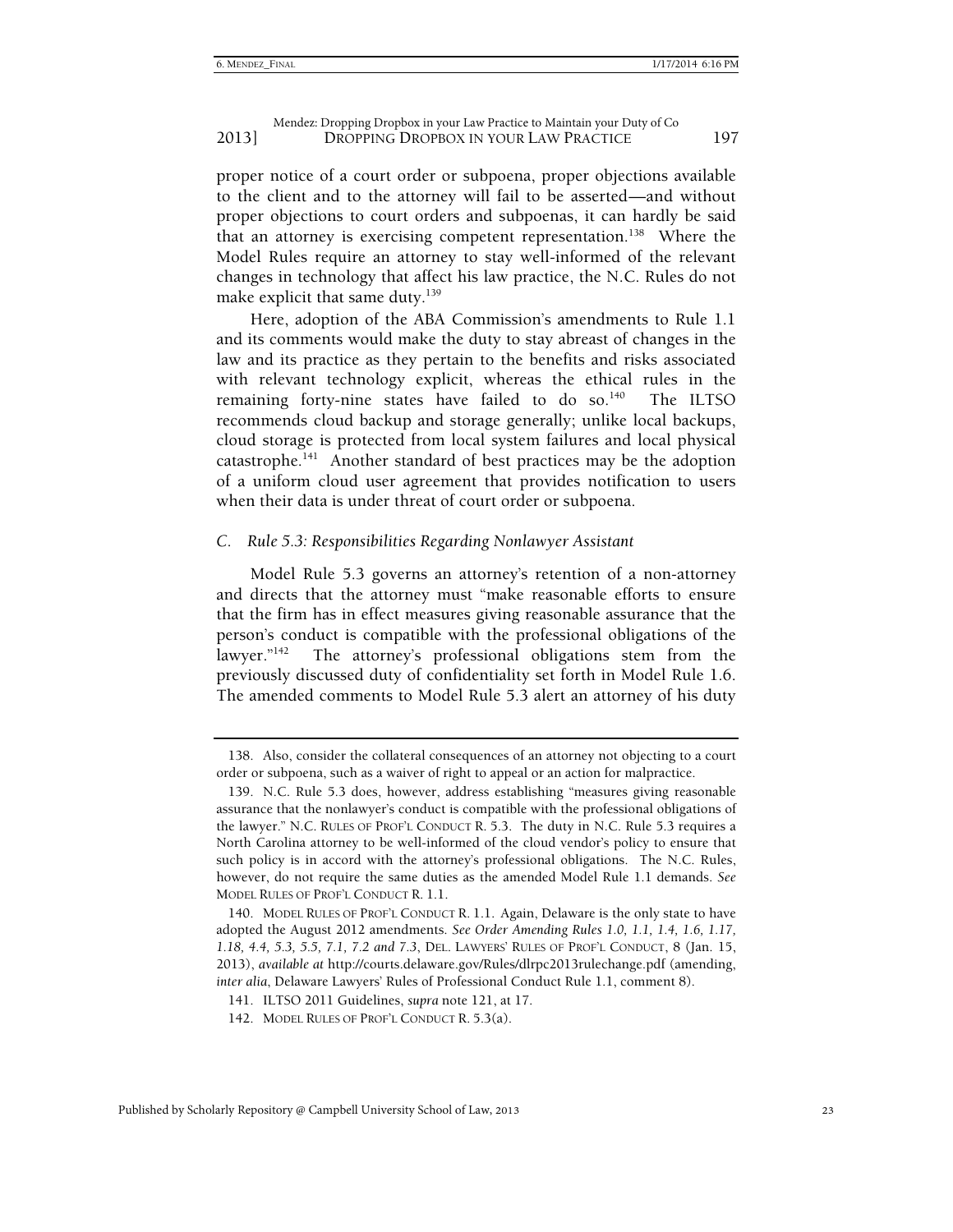proper notice of a court order or subpoena, proper objections available to the client and to the attorney will fail to be asserted—and without proper objections to court orders and subpoenas, it can hardly be said that an attorney is exercising competent representation.<sup>138</sup> Where the Model Rules require an attorney to stay well-informed of the relevant changes in technology that affect his law practice, the N.C. Rules do not make explicit that same duty. $139$ 

Here, adoption of the ABA Commission's amendments to Rule 1.1 and its comments would make the duty to stay abreast of changes in the law and its practice as they pertain to the benefits and risks associated with relevant technology explicit, whereas the ethical rules in the remaining forty-nine states have failed to do so.<sup>140</sup> The ILTSO recommends cloud backup and storage generally; unlike local backups, cloud storage is protected from local system failures and local physical catastrophe.141 Another standard of best practices may be the adoption of a uniform cloud user agreement that provides notification to users when their data is under threat of court order or subpoena.

#### *C. Rule 5.3: Responsibilities Regarding Nonlawyer Assistant*

Model Rule 5.3 governs an attorney's retention of a non-attorney and directs that the attorney must "make reasonable efforts to ensure that the firm has in effect measures giving reasonable assurance that the person's conduct is compatible with the professional obligations of the lawyer."<sup>142</sup> The attorney's professional obligations stem from the previously discussed duty of confidentiality set forth in Model Rule 1.6. The amended comments to Model Rule 5.3 alert an attorney of his duty

 <sup>138.</sup> Also, consider the collateral consequences of an attorney not objecting to a court order or subpoena, such as a waiver of right to appeal or an action for malpractice.

 <sup>139.</sup> N.C. Rule 5.3 does, however, address establishing "measures giving reasonable assurance that the nonlawyer's conduct is compatible with the professional obligations of the lawyer." N.C. RULES OF PROF'L CONDUCT R. 5.3. The duty in N.C. Rule 5.3 requires a North Carolina attorney to be well-informed of the cloud vendor's policy to ensure that such policy is in accord with the attorney's professional obligations. The N.C. Rules, however, do not require the same duties as the amended Model Rule 1.1 demands. *See*  MODEL RULES OF PROF'L CONDUCT R. 1.1.

 <sup>140.</sup> MODEL RULES OF PROF'L CONDUCT R. 1.1. Again, Delaware is the only state to have adopted the August 2012 amendments. *See Order Amending Rules 1.0, 1.1, 1.4, 1.6, 1.17, 1.18, 4.4, 5.3, 5.5, 7.1, 7.2 and 7.3*, DEL. LAWYERS' RULES OF PROF'L CONDUCT, 8 (Jan. 15, 2013), *available at* http://courts.delaware.gov/Rules/dlrpc2013rulechange.pdf (amending, *inter alia*, Delaware Lawyers' Rules of Professional Conduct Rule 1.1, comment 8).

 <sup>141.</sup> ILTSO 2011 Guidelines, *supra* note 121, at 17.

 <sup>142.</sup> MODEL RULES OF PROF'L CONDUCT R. 5.3(a).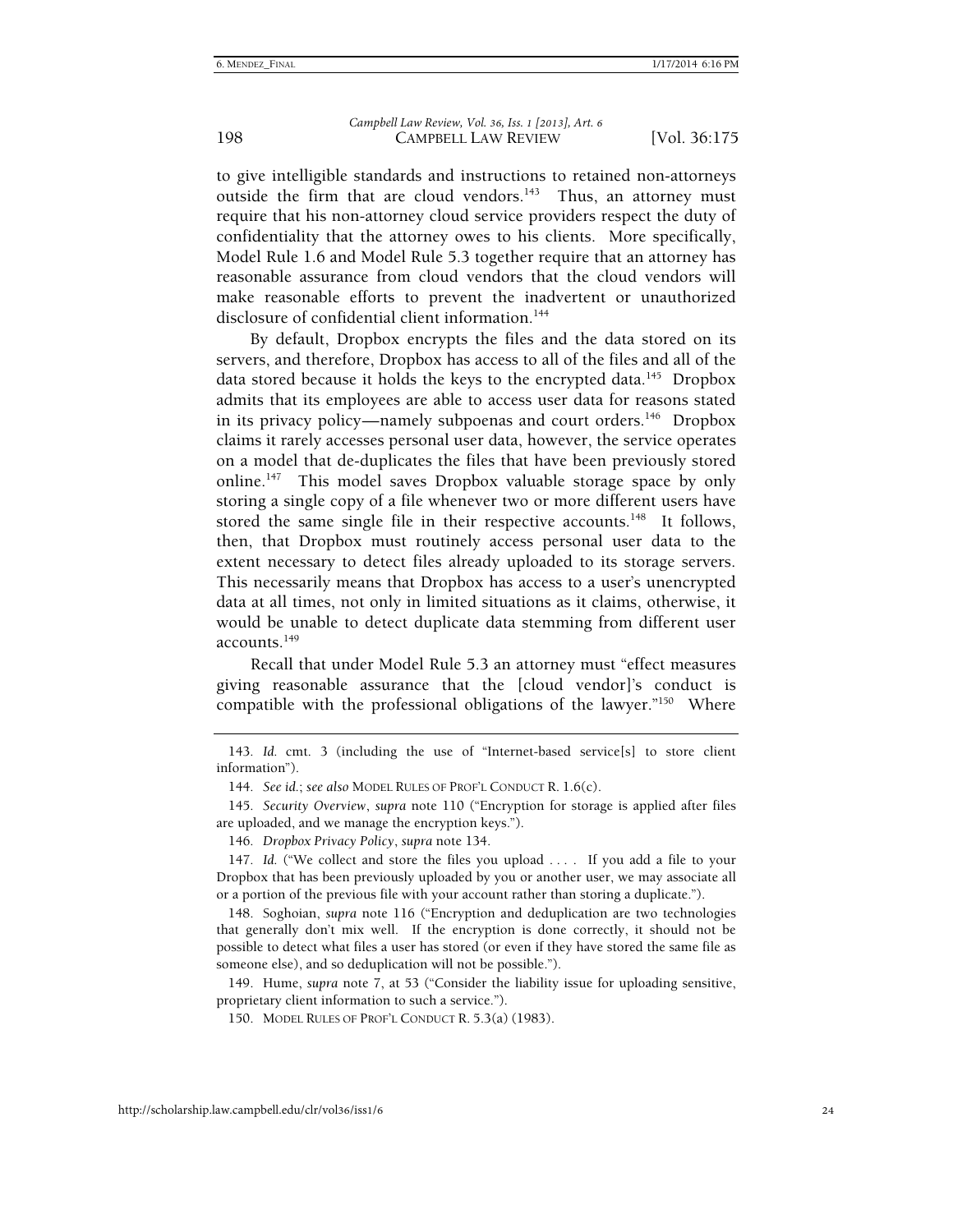to give intelligible standards and instructions to retained non-attorneys outside the firm that are cloud vendors.<sup>143</sup> Thus, an attorney must require that his non-attorney cloud service providers respect the duty of confidentiality that the attorney owes to his clients. More specifically, Model Rule 1.6 and Model Rule 5.3 together require that an attorney has reasonable assurance from cloud vendors that the cloud vendors will make reasonable efforts to prevent the inadvertent or unauthorized disclosure of confidential client information.<sup>144</sup>

By default, Dropbox encrypts the files and the data stored on its servers, and therefore, Dropbox has access to all of the files and all of the data stored because it holds the keys to the encrypted data.<sup>145</sup> Dropbox admits that its employees are able to access user data for reasons stated in its privacy policy—namely subpoenas and court orders.<sup>146</sup> Dropbox claims it rarely accesses personal user data, however, the service operates on a model that de-duplicates the files that have been previously stored online.<sup>147</sup> This model saves Dropbox valuable storage space by only storing a single copy of a file whenever two or more different users have stored the same single file in their respective accounts.<sup>148</sup> It follows, then, that Dropbox must routinely access personal user data to the extent necessary to detect files already uploaded to its storage servers. This necessarily means that Dropbox has access to a user's unencrypted data at all times, not only in limited situations as it claims, otherwise, it would be unable to detect duplicate data stemming from different user accounts.149

Recall that under Model Rule 5.3 an attorney must "effect measures giving reasonable assurance that the [cloud vendor]'s conduct is compatible with the professional obligations of the lawyer."150 Where

<sup>143</sup>*. Id.* cmt. 3 (including the use of "Internet-based service[s] to store client information").

<sup>144</sup>*. See id.*; *see also* MODEL RULES OF PROF'L CONDUCT R. 1.6(c).

<sup>145</sup>*. Security Overview*, *supra* note 110 ("Encryption for storage is applied after files are uploaded, and we manage the encryption keys.").

<sup>146</sup>*. Dropbox Privacy Policy*, *supra* note 134.

<sup>147</sup>*. Id.* ("We collect and store the files you upload . . . . If you add a file to your Dropbox that has been previously uploaded by you or another user, we may associate all or a portion of the previous file with your account rather than storing a duplicate.").

 <sup>148.</sup> Soghoian, *supra* note 116 ("Encryption and deduplication are two technologies that generally don't mix well. If the encryption is done correctly, it should not be possible to detect what files a user has stored (or even if they have stored the same file as someone else), and so deduplication will not be possible.").

 <sup>149.</sup> Hume, *supra* note 7, at 53 ("Consider the liability issue for uploading sensitive, proprietary client information to such a service.").

 <sup>150.</sup> MODEL RULES OF PROF'L CONDUCT R. 5.3(a) (1983).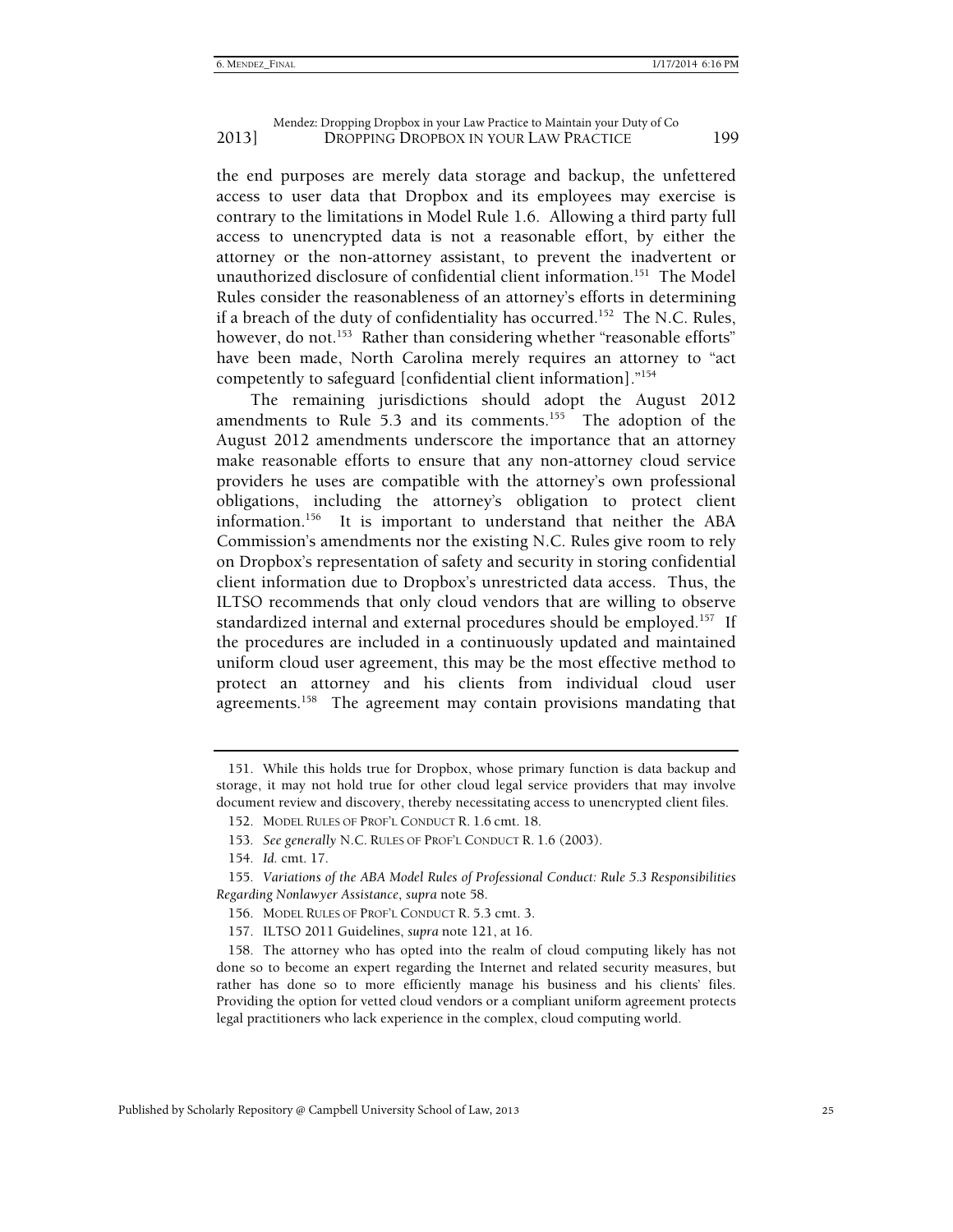the end purposes are merely data storage and backup, the unfettered access to user data that Dropbox and its employees may exercise is contrary to the limitations in Model Rule 1.6. Allowing a third party full access to unencrypted data is not a reasonable effort, by either the attorney or the non-attorney assistant, to prevent the inadvertent or unauthorized disclosure of confidential client information.<sup>151</sup> The Model Rules consider the reasonableness of an attorney's efforts in determining if a breach of the duty of confidentiality has occurred.<sup>152</sup> The N.C. Rules, however, do not.<sup>153</sup> Rather than considering whether "reasonable efforts" have been made, North Carolina merely requires an attorney to "act competently to safeguard [confidential client information]."154

The remaining jurisdictions should adopt the August 2012 amendments to Rule  $5.3$  and its comments.<sup>155</sup> The adoption of the August 2012 amendments underscore the importance that an attorney make reasonable efforts to ensure that any non-attorney cloud service providers he uses are compatible with the attorney's own professional obligations, including the attorney's obligation to protect client information.156 It is important to understand that neither the ABA Commission's amendments nor the existing N.C. Rules give room to rely on Dropbox's representation of safety and security in storing confidential client information due to Dropbox's unrestricted data access. Thus, the ILTSO recommends that only cloud vendors that are willing to observe standardized internal and external procedures should be employed.157If the procedures are included in a continuously updated and maintained uniform cloud user agreement, this may be the most effective method to protect an attorney and his clients from individual cloud user agreements.<sup>158</sup> The agreement may contain provisions mandating that

 <sup>151.</sup> While this holds true for Dropbox, whose primary function is data backup and storage, it may not hold true for other cloud legal service providers that may involve document review and discovery, thereby necessitating access to unencrypted client files.

 <sup>152.</sup> MODEL RULES OF PROF'L CONDUCT R. 1.6 cmt. 18.

<sup>153</sup>*. See generally* N.C. RULES OF PROF'L CONDUCT R. 1.6 (2003).

<sup>154</sup>*. Id.* cmt. 17.

<sup>155</sup>*. Variations of the ABA Model Rules of Professional Conduct: Rule 5.3 Responsibilities Regarding Nonlawyer Assistance*, *supra* note 58.

 <sup>156.</sup> MODEL RULES OF PROF'L CONDUCT R. 5.3 cmt. 3.

 <sup>157.</sup> ILTSO 2011 Guidelines, *supra* note 121, at 16.

 <sup>158.</sup> The attorney who has opted into the realm of cloud computing likely has not done so to become an expert regarding the Internet and related security measures, but rather has done so to more efficiently manage his business and his clients' files. Providing the option for vetted cloud vendors or a compliant uniform agreement protects legal practitioners who lack experience in the complex, cloud computing world.